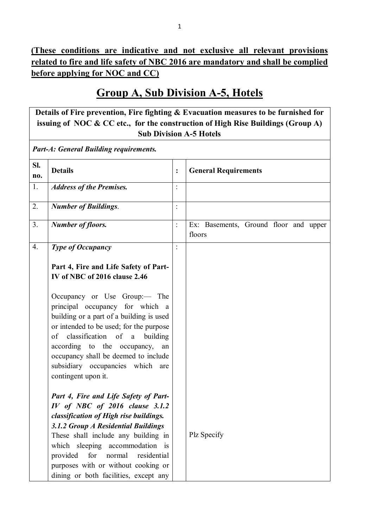# **Group A, Sub Division A-5, Hotels**

**Details of Fire prevention, Fire fighting & Evacuation measures to be furnished for issuing of NOC & CC etc., for the construction of High Rise Buildings (Group A) Sub Division A-5 Hotels**

*Part-A: General Building requirements.*

| Sl.<br>no.       | <b>Details</b>                                                                                                                                                                                                                                                                                                                                                   | $\ddot{\cdot}$ | <b>General Requirements</b>                     |
|------------------|------------------------------------------------------------------------------------------------------------------------------------------------------------------------------------------------------------------------------------------------------------------------------------------------------------------------------------------------------------------|----------------|-------------------------------------------------|
| 1.               | <b>Address of the Premises.</b>                                                                                                                                                                                                                                                                                                                                  | $\ddot{\cdot}$ |                                                 |
| 2.               | <b>Number of Buildings.</b>                                                                                                                                                                                                                                                                                                                                      | $\ddot{\cdot}$ |                                                 |
| 3.               | <b>Number of floors.</b>                                                                                                                                                                                                                                                                                                                                         | $\ddot{\cdot}$ | Ex: Basements, Ground floor and upper<br>floors |
| $\overline{4}$ . | <b>Type of Occupancy</b>                                                                                                                                                                                                                                                                                                                                         |                |                                                 |
|                  | Part 4, Fire and Life Safety of Part-<br>IV of NBC of 2016 clause 2.46                                                                                                                                                                                                                                                                                           |                |                                                 |
|                  | Occupancy or Use Group:— The<br>principal occupancy for which a<br>building or a part of a building is used<br>or intended to be used; for the purpose<br>of classification of a<br>building<br>according to the occupancy,<br>an<br>occupancy shall be deemed to include<br>subsidiary occupancies which<br>are<br>contingent upon it.                          |                |                                                 |
|                  | Part 4, Fire and Life Safety of Part-<br>$IV$ of NBC of 2016 clause 3.1.2<br>classification of High rise buildings.<br>3.1.2 Group A Residential Buildings<br>These shall include any building in<br>which sleeping accommodation is<br>provided<br>for<br>normal<br>residential<br>purposes with or without cooking or<br>dining or both facilities, except any |                | Plz Specify                                     |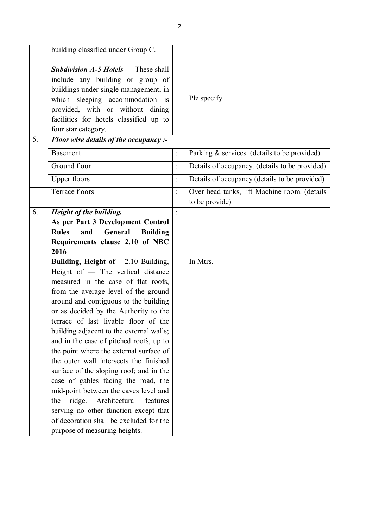|    | building classified under Group C.                                                                                                                                                                                                                               |                |                                                                |
|----|------------------------------------------------------------------------------------------------------------------------------------------------------------------------------------------------------------------------------------------------------------------|----------------|----------------------------------------------------------------|
|    | <b>Subdivision A-5 Hotels</b> — These shall<br>include any building or group of<br>buildings under single management, in<br>which sleeping accommodation is<br>provided, with or without dining<br>facilities for hotels classified up to<br>four star category. |                | Plz specify                                                    |
| 5. | Floor wise details of the occupancy :-                                                                                                                                                                                                                           |                |                                                                |
|    | <b>Basement</b>                                                                                                                                                                                                                                                  | $\ddot{\cdot}$ | Parking & services. (details to be provided)                   |
|    | Ground floor                                                                                                                                                                                                                                                     | $\ddot{\cdot}$ | Details of occupancy. (details to be provided)                 |
|    | <b>Upper floors</b>                                                                                                                                                                                                                                              | $\ddot{\cdot}$ | Details of occupancy (details to be provided)                  |
|    | Terrace floors                                                                                                                                                                                                                                                   | $\ddot{\cdot}$ | Over head tanks, lift Machine room. (details<br>to be provide) |
| 6. | Height of the building.                                                                                                                                                                                                                                          |                |                                                                |
|    | As per Part 3 Development Control                                                                                                                                                                                                                                |                |                                                                |
|    | <b>Rules</b><br>General<br><b>Building</b><br>and                                                                                                                                                                                                                |                |                                                                |
|    | Requirements clause 2.10 of NBC                                                                                                                                                                                                                                  |                |                                                                |
|    | 2016                                                                                                                                                                                                                                                             |                |                                                                |
|    | Building, Height of $-2.10$ Building,                                                                                                                                                                                                                            |                | In Mtrs.                                                       |
|    | Height of - The vertical distance<br>measured in the case of flat roofs,                                                                                                                                                                                         |                |                                                                |
|    | from the average level of the ground                                                                                                                                                                                                                             |                |                                                                |
|    | around and contiguous to the building                                                                                                                                                                                                                            |                |                                                                |
|    | or as decided by the Authority to the                                                                                                                                                                                                                            |                |                                                                |
|    | terrace of last livable floor of the                                                                                                                                                                                                                             |                |                                                                |
|    | building adjacent to the external walls;                                                                                                                                                                                                                         |                |                                                                |
|    | and in the case of pitched roofs, up to                                                                                                                                                                                                                          |                |                                                                |
|    | the point where the external surface of                                                                                                                                                                                                                          |                |                                                                |
|    | the outer wall intersects the finished                                                                                                                                                                                                                           |                |                                                                |
|    | surface of the sloping roof; and in the                                                                                                                                                                                                                          |                |                                                                |
|    | case of gables facing the road, the<br>mid-point between the eaves level and                                                                                                                                                                                     |                |                                                                |
|    | Architectural<br>ridge.<br>features<br>the                                                                                                                                                                                                                       |                |                                                                |
|    | serving no other function except that                                                                                                                                                                                                                            |                |                                                                |
|    | of decoration shall be excluded for the                                                                                                                                                                                                                          |                |                                                                |
|    | purpose of measuring heights.                                                                                                                                                                                                                                    |                |                                                                |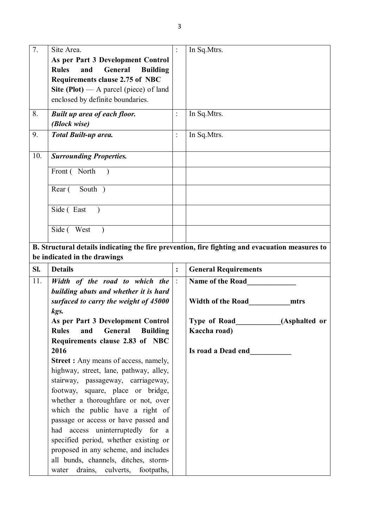| $\overline{7}$ . | Site Area.                                                                                     | $\ddot{\cdot}$ | In Sq.Mtrs.                 |               |
|------------------|------------------------------------------------------------------------------------------------|----------------|-----------------------------|---------------|
|                  | As per Part 3 Development Control                                                              |                |                             |               |
|                  | General<br><b>Rules</b><br>and<br><b>Building</b>                                              |                |                             |               |
|                  | <b>Requirements clause 2.75 of NBC</b>                                                         |                |                             |               |
|                  | Site (Plot) $-$ A parcel (piece) of land                                                       |                |                             |               |
|                  | enclosed by definite boundaries.                                                               |                |                             |               |
|                  |                                                                                                |                |                             |               |
| 8.               | <b>Built up area of each floor.</b>                                                            | $\ddot{\cdot}$ | In Sq. Mtrs.                |               |
|                  | (Block wise)                                                                                   |                |                             |               |
| 9.               | <b>Total Built-up area.</b>                                                                    | $\ddot{\cdot}$ | In Sq.Mtrs.                 |               |
|                  |                                                                                                |                |                             |               |
| 10.              | <b>Surrounding Properties.</b>                                                                 |                |                             |               |
|                  | Front (North                                                                                   |                |                             |               |
|                  | South )<br>Rear (                                                                              |                |                             |               |
|                  | Side (East                                                                                     |                |                             |               |
|                  | Side (West                                                                                     |                |                             |               |
|                  | B. Structural details indicating the fire prevention, fire fighting and evacuation measures to |                |                             |               |
|                  |                                                                                                |                |                             |               |
|                  | be indicated in the drawings                                                                   |                |                             |               |
| SI.              | <b>Details</b>                                                                                 | $\ddot{\cdot}$ | <b>General Requirements</b> |               |
| 11.              | Width of the road to which the                                                                 | $\ddot{\cdot}$ | Name of the Road            |               |
|                  | building abuts and whether it is hard                                                          |                |                             |               |
|                  | surfaced to carry the weight of 45000                                                          |                | <b>Width of the Road</b>    | mtrs          |
|                  | kgs.                                                                                           |                |                             |               |
|                  |                                                                                                |                |                             |               |
|                  | As per Part 3 Development Control<br>General<br><b>Rules</b><br>and                            |                | <b>Type of Road</b>         | (Asphalted or |
|                  | <b>Building</b>                                                                                |                | Kaccha road)                |               |
|                  | Requirements clause 2.83 of NBC                                                                |                |                             |               |
|                  | 2016                                                                                           |                | Is road a Dead end          |               |
|                  | <b>Street :</b> Any means of access, namely,                                                   |                |                             |               |
|                  | highway, street, lane, pathway, alley,                                                         |                |                             |               |
|                  | stairway, passageway, carriageway,                                                             |                |                             |               |
|                  | footway, square, place or bridge,                                                              |                |                             |               |
|                  | whether a thoroughfare or not, over                                                            |                |                             |               |
|                  | which the public have a right of                                                               |                |                             |               |
|                  | passage or access or have passed and                                                           |                |                             |               |
|                  | had access uninterruptedly for a                                                               |                |                             |               |
|                  | specified period, whether existing or                                                          |                |                             |               |
|                  | proposed in any scheme, and includes                                                           |                |                             |               |
|                  | all bunds, channels, ditches, storm-<br>drains,<br>culverts,<br>footpaths,                     |                |                             |               |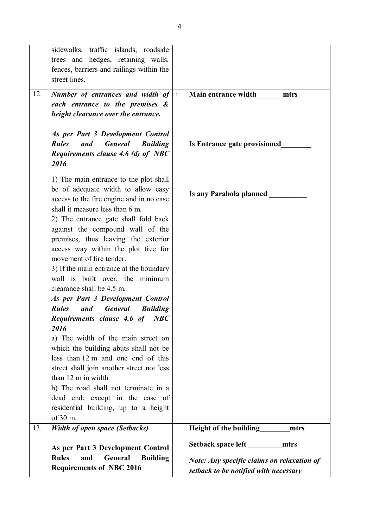| sidewalks, traffic islands, roadside                     |                                                   |
|----------------------------------------------------------|---------------------------------------------------|
| trees and hedges, retaining walls,                       |                                                   |
| fences, barriers and railings within the                 |                                                   |
| street lines.                                            |                                                   |
|                                                          |                                                   |
| Number of entrances and width of $\vert$ :<br>12.        | Main entrance width<br>mtrs                       |
| each entrance to the premises &                          |                                                   |
| height clearance over the entrance.                      |                                                   |
|                                                          |                                                   |
| As per Part 3 Development Control                        |                                                   |
| <b>General</b><br><b>Rules</b><br>and<br><b>Building</b> | Is Entrance gate provisioned                      |
| Requirements clause 4.6 (d) of NBC                       |                                                   |
| 2016                                                     |                                                   |
|                                                          |                                                   |
| 1) The main entrance to the plot shall                   |                                                   |
| be of adequate width to allow easy                       | Is any Parabola planned                           |
| access to the fire engine and in no case                 |                                                   |
| shall it measure less than 6 m.                          |                                                   |
| 2) The entrance gate shall fold back                     |                                                   |
| against the compound wall of the                         |                                                   |
| premises, thus leaving the exterior                      |                                                   |
| access way within the plot free for                      |                                                   |
| movement of fire tender.                                 |                                                   |
| 3) If the main entrance at the boundary                  |                                                   |
| wall is built over, the minimum                          |                                                   |
| clearance shall be 4.5 m.                                |                                                   |
| As per Part 3 Development Control                        |                                                   |
| <b>General</b><br><b>Rules</b><br>and<br><b>Building</b> |                                                   |
| <b>Requirements clause 4.6 of</b><br>NBC                 |                                                   |
| 2016                                                     |                                                   |
| a) The width of the main street on                       |                                                   |
| which the building abuts shall not be                    |                                                   |
| less than 12 m and one end of this                       |                                                   |
| street shall join another street not less                |                                                   |
| than 12 m in width.                                      |                                                   |
| b) The road shall not terminate in a                     |                                                   |
| dead end; except in the case of                          |                                                   |
| residential building, up to a height                     |                                                   |
| of 30 m.                                                 |                                                   |
| 13.<br><b>Width of open space (Setbacks)</b>             | Height of the building<br>mtrs                    |
|                                                          |                                                   |
| As per Part 3 Development Control                        | Setback space left<br>mtrs                        |
| <b>Rules</b><br>General<br><b>Building</b><br>and        | <b>Note: Any specific claims on relaxation of</b> |
| <b>Requirements of NBC 2016</b>                          | setback to be notified with necessary             |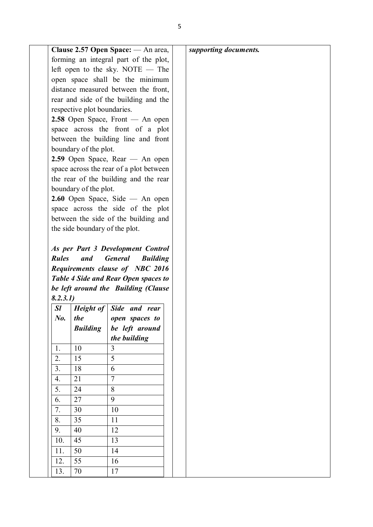|                                  |                                | Clause 2.57 Open Space: — An area,                                                                                                                       |  | supporting documents. |  |  |
|----------------------------------|--------------------------------|----------------------------------------------------------------------------------------------------------------------------------------------------------|--|-----------------------|--|--|
|                                  |                                | forming an integral part of the plot,                                                                                                                    |  |                       |  |  |
|                                  |                                | left open to the sky. NOTE $-$ The                                                                                                                       |  |                       |  |  |
|                                  |                                | open space shall be the minimum                                                                                                                          |  |                       |  |  |
|                                  |                                | distance measured between the front,                                                                                                                     |  |                       |  |  |
|                                  |                                | rear and side of the building and the                                                                                                                    |  |                       |  |  |
|                                  | respective plot boundaries.    |                                                                                                                                                          |  |                       |  |  |
| 2.58 Open Space, Front — An open |                                |                                                                                                                                                          |  |                       |  |  |
|                                  |                                | space across the front of a plot                                                                                                                         |  |                       |  |  |
|                                  |                                | between the building line and front                                                                                                                      |  |                       |  |  |
|                                  | boundary of the plot.          |                                                                                                                                                          |  |                       |  |  |
|                                  |                                | 2.59 Open Space, Rear — An open                                                                                                                          |  |                       |  |  |
|                                  |                                | space across the rear of a plot between                                                                                                                  |  |                       |  |  |
|                                  |                                | the rear of the building and the rear                                                                                                                    |  |                       |  |  |
|                                  | boundary of the plot.          |                                                                                                                                                          |  |                       |  |  |
|                                  |                                | $2.60$ Open Space, Side — An open                                                                                                                        |  |                       |  |  |
|                                  |                                | space across the side of the plot                                                                                                                        |  |                       |  |  |
|                                  |                                | between the side of the building and                                                                                                                     |  |                       |  |  |
|                                  | the side boundary of the plot. |                                                                                                                                                          |  |                       |  |  |
|                                  | and                            | As per Part 3 Development Control<br><b>General</b><br><b>Building</b><br>Requirements clause of NBC 2016<br><b>Table 4 Side and Rear Open spaces to</b> |  |                       |  |  |
| <b>Rules</b>                     |                                | be left around the Building (Clause                                                                                                                      |  |                       |  |  |
| 8.2.3.1)<br><b>Sl</b>            |                                | Height of Side and rear                                                                                                                                  |  |                       |  |  |
| $N_{0}$ .                        | the                            | open spaces to                                                                                                                                           |  |                       |  |  |
|                                  | <b>Building</b>                | be left around                                                                                                                                           |  |                       |  |  |
|                                  |                                | the building                                                                                                                                             |  |                       |  |  |
| 1.                               | 10                             | 3                                                                                                                                                        |  |                       |  |  |
| 2.                               | 15                             | 5                                                                                                                                                        |  |                       |  |  |
| 3.                               | 18                             | 6                                                                                                                                                        |  |                       |  |  |
| 4.                               | 21                             | $\overline{7}$                                                                                                                                           |  |                       |  |  |
| 5.                               | 24                             | 8                                                                                                                                                        |  |                       |  |  |
| 6.                               | 27                             | 9                                                                                                                                                        |  |                       |  |  |
| 7.                               | 30                             | 10                                                                                                                                                       |  |                       |  |  |
| 8.                               | 35                             | 11                                                                                                                                                       |  |                       |  |  |
| 9.                               | 40                             | 12                                                                                                                                                       |  |                       |  |  |
| 10.                              | 45                             | 13                                                                                                                                                       |  |                       |  |  |
| 11.                              | 50                             | 14                                                                                                                                                       |  |                       |  |  |
| 12.                              | 55                             | 16                                                                                                                                                       |  |                       |  |  |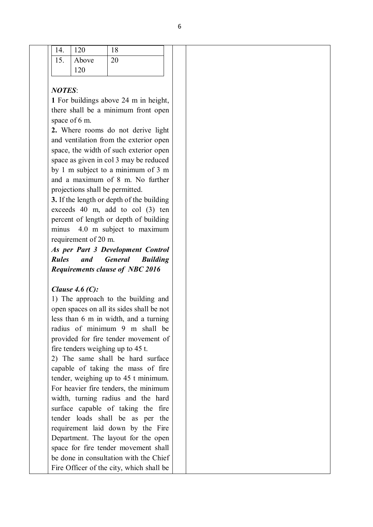| 14. | $\sim$<br>$1 \angle U$     | $\sim$<br>10 |  |
|-----|----------------------------|--------------|--|
| 13. | $\cdots$<br>Above          | 20           |  |
|     | $. \cap C$<br>$1 \angle U$ |              |  |

#### *NOTES*:

**1** For buildings above 24 m in height, there shall be a minimum front open space of 6 m.

**2.** Where rooms do not derive light and ventilation from the exterior open space, the width of such exterior open space as given in col 3 may be reduced by 1 m subject to a minimum of 3 m and a maximum of 8 m. No further projections shall be permitted.

**3.** If the length or depth of the building exceeds 40 m, add to col (3) ten percent of length or depth of building minus 4.0 m subject to maximum requirement of 20 m.

*As per Part 3 Development Control Rules and General Building Requirements clause of NBC 2016*

## *Clause 4.6 (C):*

1) The approach to the building and open spaces on all its sides shall be not less than 6 m in width, and a turning radius of minimum 9 m shall be provided for fire tender movement of fire tenders weighing up to 45 t.

2) The same shall be hard surface capable of taking the mass of fire tender, weighing up to 45 t minimum. For heavier fire tenders, the minimum width, turning radius and the hard surface capable of taking the fire tender loads shall be as per the requirement laid down by the Fire Department. The layout for the open space for fire tender movement shall be done in consultation with the Chief Fire Officer of the city, which shall be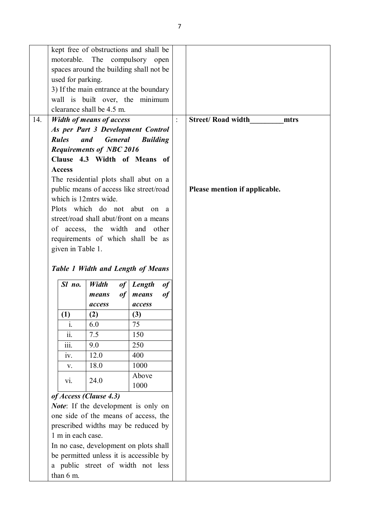|     | kept free of obstructions and shall be                                                                                                       |                                         |                 |                |                                   |
|-----|----------------------------------------------------------------------------------------------------------------------------------------------|-----------------------------------------|-----------------|----------------|-----------------------------------|
|     | motorable.                                                                                                                                   | The                                     | compulsory open |                |                                   |
|     | spaces around the building shall not be                                                                                                      |                                         |                 |                |                                   |
|     | used for parking.                                                                                                                            |                                         |                 |                |                                   |
|     |                                                                                                                                              | 3) If the main entrance at the boundary |                 |                |                                   |
|     |                                                                                                                                              | wall is built over, the minimum         |                 |                |                                   |
|     |                                                                                                                                              | clearance shall be 4.5 m.               |                 |                |                                   |
| 14. |                                                                                                                                              | <b>Width of means of access</b>         |                 | $\ddot{\cdot}$ | <b>Street/ Road width</b><br>mtrs |
|     |                                                                                                                                              | As per Part 3 Development Control       |                 |                |                                   |
|     | <b>Rules</b>                                                                                                                                 | <b>General</b><br>and                   | <b>Building</b> |                |                                   |
|     |                                                                                                                                              | <b>Requirements of NBC 2016</b>         |                 |                |                                   |
|     |                                                                                                                                              | Clause 4.3 Width of Means of            |                 |                |                                   |
|     | <b>Access</b>                                                                                                                                |                                         |                 |                |                                   |
|     |                                                                                                                                              | The residential plots shall abut on a   |                 |                |                                   |
|     |                                                                                                                                              | public means of access like street/road |                 |                | Please mention if applicable.     |
|     | which is 12mtrs wide.                                                                                                                        |                                         |                 |                |                                   |
|     |                                                                                                                                              | Plots which do not abut                 |                 | on a           |                                   |
|     |                                                                                                                                              | street/road shall abut/front on a means |                 |                |                                   |
|     |                                                                                                                                              | of access, the width and other          |                 |                |                                   |
|     |                                                                                                                                              | requirements of which shall be as       |                 |                |                                   |
|     | given in Table 1.                                                                                                                            |                                         |                 |                |                                   |
|     |                                                                                                                                              |                                         |                 |                |                                   |
|     | <b>Table 1 Width and Length of Means</b>                                                                                                     |                                         |                 |                |                                   |
|     |                                                                                                                                              |                                         |                 |                |                                   |
|     | Sl no.                                                                                                                                       | Width                                   | $of$ Length     | of             |                                   |
|     |                                                                                                                                              | of<br>means                             | means           | of             |                                   |
|     |                                                                                                                                              | access                                  | access<br>(3)   |                |                                   |
|     | (1)                                                                                                                                          | (2)<br>6.0                              | 75              |                |                                   |
|     | ı.<br>$\dddot{\mathbf{i}}$                                                                                                                   | 7.5                                     | 150             |                |                                   |
|     | $\overline{\text{iii}}$ .                                                                                                                    | 9.0                                     | 250             |                |                                   |
|     | iv.                                                                                                                                          | 12.0                                    | 400             |                |                                   |
|     | V.                                                                                                                                           | 18.0                                    | 1000            |                |                                   |
|     |                                                                                                                                              |                                         |                 |                |                                   |
|     | Above<br>24.0<br>vi.<br>1000                                                                                                                 |                                         |                 |                |                                   |
|     |                                                                                                                                              |                                         |                 |                |                                   |
|     | of Access (Clause 4.3)<br>Note: If the development is only on<br>one side of the means of access, the<br>prescribed widths may be reduced by |                                         |                 |                |                                   |
|     |                                                                                                                                              |                                         |                 |                |                                   |
|     |                                                                                                                                              |                                         |                 |                |                                   |
|     | 1 m in each case.                                                                                                                            |                                         |                 |                |                                   |
|     |                                                                                                                                              | In no case, development on plots shall  |                 |                |                                   |
|     |                                                                                                                                              |                                         |                 |                |                                   |
|     |                                                                                                                                              | be permitted unless it is accessible by |                 |                |                                   |
|     | than 6 m.                                                                                                                                    | a public street of width not less       |                 |                |                                   |
|     |                                                                                                                                              |                                         |                 |                |                                   |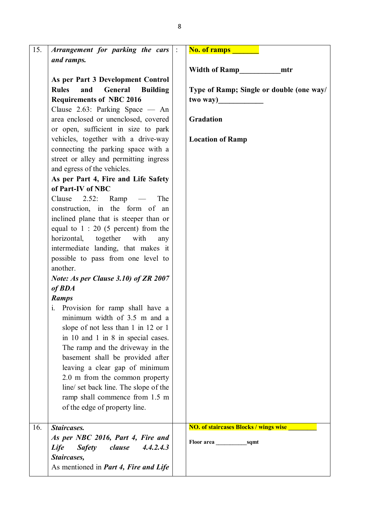| 15. | Arrangement for parking the cars                  | $\mathbb{R}^2$ | <b>No. of ramps</b>                          |
|-----|---------------------------------------------------|----------------|----------------------------------------------|
|     | and ramps.                                        |                |                                              |
|     |                                                   |                | <b>Width of Ramp</b><br>mtr                  |
|     | As per Part 3 Development Control                 |                |                                              |
|     | <b>Rules</b><br>and<br>General<br><b>Building</b> |                | Type of Ramp; Single or double (one way/     |
|     | <b>Requirements of NBC 2016</b>                   |                | two way)                                     |
|     | Clause 2.63: Parking Space — An                   |                |                                              |
|     | area enclosed or unenclosed, covered              |                | Gradation                                    |
|     | or open, sufficient in size to park               |                |                                              |
|     | vehicles, together with a drive-way               |                | <b>Location of Ramp</b>                      |
|     | connecting the parking space with a               |                |                                              |
|     | street or alley and permitting ingress            |                |                                              |
|     | and egress of the vehicles.                       |                |                                              |
|     | As per Part 4, Fire and Life Safety               |                |                                              |
|     | of Part-IV of NBC                                 |                |                                              |
|     | Clause $2.52$ : Ramp $-$<br>The                   |                |                                              |
|     | construction, in the form of an                   |                |                                              |
|     | inclined plane that is steeper than or            |                |                                              |
|     | equal to $1:20$ (5 percent) from the              |                |                                              |
|     | horizontal, together<br>with<br>any               |                |                                              |
|     | intermediate landing, that makes it               |                |                                              |
|     | possible to pass from one level to                |                |                                              |
|     | another.                                          |                |                                              |
|     | Note: As per Clause 3.10) of ZR 2007              |                |                                              |
|     | of <b>BDA</b>                                     |                |                                              |
|     | <b>Ramps</b>                                      |                |                                              |
|     | i. Provision for ramp shall have a                |                |                                              |
|     | minimum width of 3.5 m and a                      |                |                                              |
|     | slope of not less than 1 in 12 or 1               |                |                                              |
|     | in 10 and 1 in 8 in special cases.                |                |                                              |
|     | The ramp and the driveway in the                  |                |                                              |
|     | basement shall be provided after                  |                |                                              |
|     | leaving a clear gap of minimum                    |                |                                              |
|     | 2.0 m from the common property                    |                |                                              |
|     | line/ set back line. The slope of the             |                |                                              |
|     | ramp shall commence from 1.5 m                    |                |                                              |
|     | of the edge of property line.                     |                |                                              |
|     |                                                   |                |                                              |
| 16. | Staircases.                                       |                | <b>NO. of staircases Blocks / wings wise</b> |
|     | As per NBC 2016, Part 4, Fire and                 |                | Floor area<br>sqmt                           |
|     | 4.4.2.4.3<br><b>Safety</b><br>clause<br>Life      |                |                                              |
|     | Staircases,                                       |                |                                              |
|     | As mentioned in <i>Part 4, Fire and Life</i>      |                |                                              |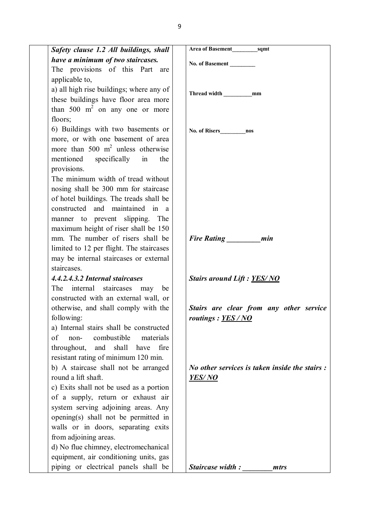| Safety clause 1.2 All buildings, shall                     |                                                       |
|------------------------------------------------------------|-------------------------------------------------------|
| have a minimum of two staircases.                          | No. of Basement                                       |
| The provisions of this Part are                            |                                                       |
| applicable to,                                             |                                                       |
| a) all high rise buildings; where any of                   | Thread width<br>mm                                    |
| these buildings have floor area more                       |                                                       |
| than 500 $m2$ on any one or more                           |                                                       |
| floors;                                                    |                                                       |
| 6) Buildings with two basements or                         | No. of Risers<br>nos                                  |
| more, or with one basement of area                         |                                                       |
| more than 500 $m2$ unless otherwise                        |                                                       |
| mentioned specifically in<br>the                           |                                                       |
| provisions.                                                |                                                       |
| The minimum width of tread without                         |                                                       |
| nosing shall be 300 mm for staircase                       |                                                       |
| of hotel buildings. The treads shall be                    |                                                       |
| constructed and maintained in a                            |                                                       |
| manner to prevent slipping. The                            |                                                       |
| maximum height of riser shall be 150                       |                                                       |
| mm. The number of risers shall be                          | Fire Rating _________ min                             |
| limited to 12 per flight. The staircases                   |                                                       |
| may be internal staircases or external                     |                                                       |
| staircases.                                                |                                                       |
| 4.4.2.4.3.2 Internal staircases<br>The internal staircases | <b>Stairs around Lift : YES/NO</b>                    |
| may<br>be<br>constructed with an external wall, or         |                                                       |
| otherwise, and shall comply with the                       | Stairs are clear from any other service               |
| following:                                                 | routings: YES/NO                                      |
| a) Internal stairs shall be constructed                    |                                                       |
| non-<br>combustible<br>materials<br>of                     |                                                       |
| throughout, and shall have<br>fire                         |                                                       |
| resistant rating of minimum 120 min.                       |                                                       |
| b) A staircase shall not be arranged                       | <i>No other services is taken inside the stairs :</i> |
| round a lift shaft.                                        | <b>YES/NO</b>                                         |
| c) Exits shall not be used as a portion                    |                                                       |
| of a supply, return or exhaust air                         |                                                       |
| system serving adjoining areas. Any                        |                                                       |
| opening(s) shall not be permitted in                       |                                                       |
| walls or in doors, separating exits                        |                                                       |
| from adjoining areas.                                      |                                                       |
| d) No flue chimney, electromechanical                      |                                                       |
| equipment, air conditioning units, gas                     |                                                       |
| piping or electrical panels shall be                       | <b>Staircase width:</b><br>mtrs                       |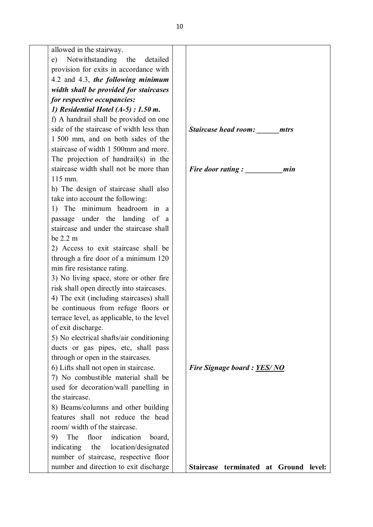allowed in the stairway.

| e) Notwithstanding the detailed        |  |
|----------------------------------------|--|
| provision for exits in accordance with |  |
| 4.2 and 4.3, the following minimum     |  |
| width shall be provided for staircases |  |
| for respective occupancies:            |  |

*1) Residential Hotel (A-5) : 1.50 m.* f) A handrail shall be provided on one side of the staircase of width less than 1 500 mm, and on both sides of the staircase of width 1 500mm and more. The projection of handrail(s) in the staircase width shall not be more than 115 mm.

h) The design of staircase shall also take into account the following:

1) The minimum headroom in a passage under the landing of a staircase and under the staircase shall be 2.2 m

2) Access to exit staircase shall be through a fire door of a minimum 120 min fire resistance rating.

3) No living space, store or other fire risk shall open directly into staircases.

4) The exit (including staircases) shall be continuous from refuge floors or terrace level, as applicable, to the level of exit discharge.

5) No electrical shafts/air conditioning ducts or gas pipes, etc, shall pass through or open in the staircases.

6) Lifts shall not open in staircase.

7) No combustible material shall be used for decoration/wall panelling in the staircase.

8) Beams/columns and other building features shall not reduce the head room/ width of the staircase.

9) The floor indication board, indicating the location/designated number of staircase, respective floor number and direction to exit discharge



**Staircase terminated at Ground level:**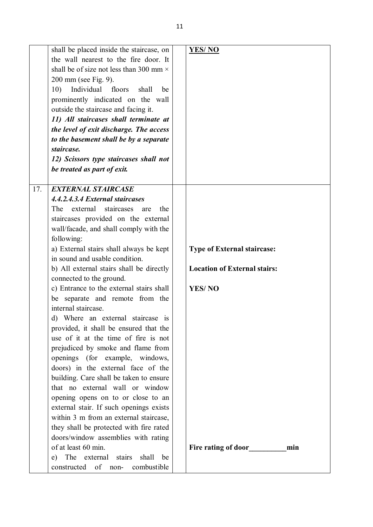| 17.<br><b>EXTERNAL STAIRCASE</b><br>4.4.2.4.3.4 External staircases<br>staircases<br>The<br>external<br>the<br>are<br>staircases provided on the external<br>wall/facade, and shall comply with the<br>following:<br>a) External stairs shall always be kept<br><b>Type of External staircase:</b><br>in sound and usable condition.<br>b) All external stairs shall be directly<br><b>Location of External stairs:</b><br>connected to the ground.<br><b>YES/NO</b><br>c) Entrance to the external stairs shall<br>separate and remote from the<br>be                                                                                                |  |
|-------------------------------------------------------------------------------------------------------------------------------------------------------------------------------------------------------------------------------------------------------------------------------------------------------------------------------------------------------------------------------------------------------------------------------------------------------------------------------------------------------------------------------------------------------------------------------------------------------------------------------------------------------|--|
| internal staircase.<br>d) Where an external staircase is<br>provided, it shall be ensured that the<br>use of it at the time of fire is not<br>prejudiced by smoke and flame from<br>openings (for example, windows,<br>doors) in the external face of the<br>building. Care shall be taken to ensure<br>that no external wall or window<br>opening opens on to or close to an<br>external stair. If such openings exists<br>within 3 m from an external staircase,<br>they shall be protected with fire rated<br>doors/window assemblies with rating<br>of at least 60 min.<br>Fire rating of door<br>min<br>e) The external<br>stairs<br>shall<br>be |  |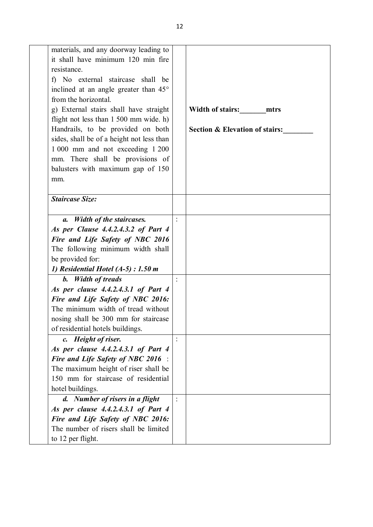| materials, and any doorway leading to     |                |                                           |
|-------------------------------------------|----------------|-------------------------------------------|
| it shall have minimum 120 min fire        |                |                                           |
| resistance.                               |                |                                           |
| f) No external staircase shall be         |                |                                           |
| inclined at an angle greater than 45°     |                |                                           |
| from the horizontal.                      |                |                                           |
| g) External stairs shall have straight    |                | Width of stairs: mtrs                     |
| flight not less than 1 500 mm wide. h)    |                |                                           |
| Handrails, to be provided on both         |                | <b>Section &amp; Elevation of stairs:</b> |
| sides, shall be of a height not less than |                |                                           |
| 1 000 mm and not exceeding 1 200          |                |                                           |
| mm. There shall be provisions of          |                |                                           |
| balusters with maximum gap of 150         |                |                                           |
| mm.                                       |                |                                           |
|                                           |                |                                           |
| <b>Staircase Size:</b>                    |                |                                           |
|                                           |                |                                           |
| a. Width of the staircases.               |                |                                           |
| As per Clause 4.4.2.4.3.2 of Part 4       |                |                                           |
| Fire and Life Safety of NBC 2016          |                |                                           |
| The following minimum width shall         |                |                                           |
| be provided for:                          |                |                                           |
| 1) Residential Hotel $(A-5)$ : 1.50 m     |                |                                           |
| <b>b.</b> Width of treads                 |                |                                           |
| As per clause 4.4.2.4.3.1 of Part 4       |                |                                           |
| Fire and Life Safety of NBC 2016:         |                |                                           |
| The minimum width of tread without        |                |                                           |
| nosing shall be 300 mm for staircase      |                |                                           |
| of residential hotels buildings.          |                |                                           |
| c. Height of riser.                       | $\ddot{\cdot}$ |                                           |
| As per clause 4.4.2.4.3.1 of Part 4       |                |                                           |
| <b>Fire and Life Safety of NBC 2016</b> : |                |                                           |
| The maximum height of riser shall be      |                |                                           |
| 150 mm for staircase of residential       |                |                                           |
| hotel buildings.                          |                |                                           |
| d. Number of risers in a flight           |                |                                           |
| As per clause 4.4.2.4.3.1 of Part 4       |                |                                           |
| Fire and Life Safety of NBC 2016:         |                |                                           |
| The number of risers shall be limited     |                |                                           |
| to 12 per flight.                         |                |                                           |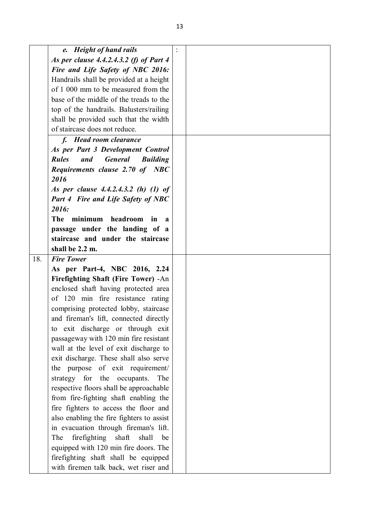|     | e. Height of hand rails                                  |  |
|-----|----------------------------------------------------------|--|
|     | As per clause 4.4.2.4.3.2 (f) of Part 4                  |  |
|     | Fire and Life Safety of NBC 2016:                        |  |
|     | Handrails shall be provided at a height                  |  |
|     | of 1 000 mm to be measured from the                      |  |
|     | base of the middle of the treads to the                  |  |
|     | top of the handrails. Balusters/railing                  |  |
|     | shall be provided such that the width                    |  |
|     | of staircase does not reduce.                            |  |
|     | f. Head room clearance                                   |  |
|     | As per Part 3 Development Control                        |  |
|     | <b>Rules</b><br>and<br><b>General</b><br><b>Building</b> |  |
|     | Requirements clause 2.70 of NBC                          |  |
|     | 2016                                                     |  |
|     | As per clause 4.4.2.4.3.2 (h) (1) of                     |  |
|     | <b>Part 4 Fire and Life Safety of NBC</b>                |  |
|     | 2016:                                                    |  |
|     | The<br>minimum<br>headroom<br>in<br>$\mathbf a$          |  |
|     | passage under the landing of a                           |  |
|     | staircase and under the staircase                        |  |
|     | shall be 2.2 m.                                          |  |
| 18. | <b>Fire Tower</b>                                        |  |
|     | As per Part-4, NBC 2016, 2.24                            |  |
|     | Firefighting Shaft (Fire Tower) - An                     |  |
|     | enclosed shaft having protected area                     |  |
|     | of 120 min fire resistance rating                        |  |
|     | comprising protected lobby, staircase                    |  |
|     | and fireman's lift, connected directly                   |  |
|     | to exit discharge or through exit                        |  |
|     | passageway with 120 min fire resistant                   |  |
|     | wall at the level of exit discharge to                   |  |
|     | exit discharge. These shall also serve                   |  |
|     | the purpose of exit requirement/                         |  |
|     | strategy for the occupants.<br>The                       |  |
|     | respective floors shall be approachable                  |  |
|     | from fire-fighting shaft enabling the                    |  |
|     | fire fighters to access the floor and                    |  |
|     | also enabling the fire fighters to assist                |  |
|     | in evacuation through fireman's lift.                    |  |
|     | firefighting<br>shaft<br>shall<br>The<br>be              |  |
|     | equipped with 120 min fire doors. The                    |  |
|     | firefighting shaft shall be equipped                     |  |
|     | with firemen talk back, wet riser and                    |  |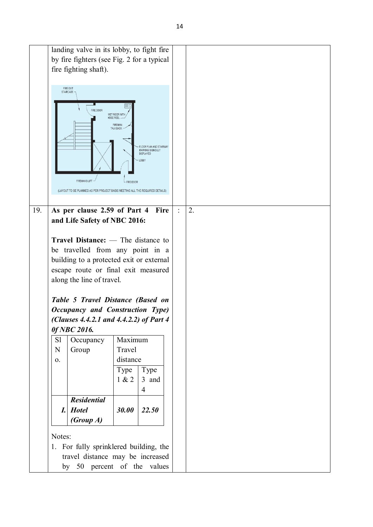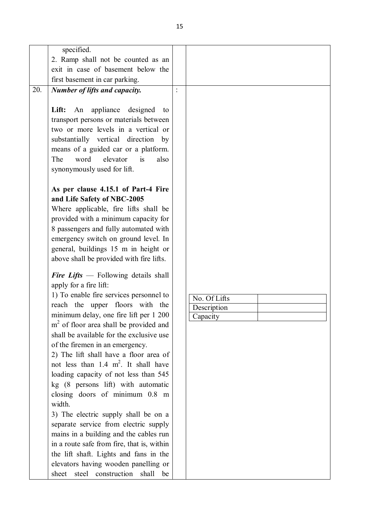|     | specified.                                         |              |  |
|-----|----------------------------------------------------|--------------|--|
|     | 2. Ramp shall not be counted as an                 |              |  |
|     | exit in case of basement below the                 |              |  |
|     | first basement in car parking.                     |              |  |
| 20. | Number of lifts and capacity.                      |              |  |
|     |                                                    |              |  |
|     | An appliance<br>designed<br>Lift:<br>to            |              |  |
|     | transport persons or materials between             |              |  |
|     | two or more levels in a vertical or                |              |  |
|     | substantially vertical direction by                |              |  |
|     | means of a guided car or a platform.               |              |  |
|     | The<br>word<br>elevator<br>is<br>also              |              |  |
|     | synonymously used for lift.                        |              |  |
|     |                                                    |              |  |
|     | As per clause 4.15.1 of Part-4 Fire                |              |  |
|     | and Life Safety of NBC-2005                        |              |  |
|     | Where applicable, fire lifts shall be              |              |  |
|     | provided with a minimum capacity for               |              |  |
|     | 8 passengers and fully automated with              |              |  |
|     | emergency switch on ground level. In               |              |  |
|     | general, buildings 15 m in height or               |              |  |
|     | above shall be provided with fire lifts.           |              |  |
|     |                                                    |              |  |
|     | Fire Lifts $-$ Following details shall             |              |  |
|     | apply for a fire lift:                             |              |  |
|     | 1) To enable fire services personnel to            | No. Of Lifts |  |
|     | reach the upper floors with the                    | Description  |  |
|     | minimum delay, one fire lift per 1 200             | Capacity     |  |
|     | m <sup>2</sup> of floor area shall be provided and |              |  |
|     | shall be available for the exclusive use           |              |  |
|     | of the firemen in an emergency.                    |              |  |
|     | 2) The lift shall have a floor area of             |              |  |
|     | not less than $1.4 \text{ m}^2$ . It shall have    |              |  |
|     | loading capacity of not less than 545              |              |  |
|     | kg (8 persons lift) with automatic                 |              |  |
|     | closing doors of minimum 0.8 m                     |              |  |
|     | width.                                             |              |  |
|     | 3) The electric supply shall be on a               |              |  |
|     | separate service from electric supply              |              |  |
|     | mains in a building and the cables run             |              |  |
|     | in a route safe from fire, that is, within         |              |  |
|     | the lift shaft. Lights and fans in the             |              |  |
|     | elevators having wooden panelling or               |              |  |
|     | sheet steel construction<br>shall<br>be            |              |  |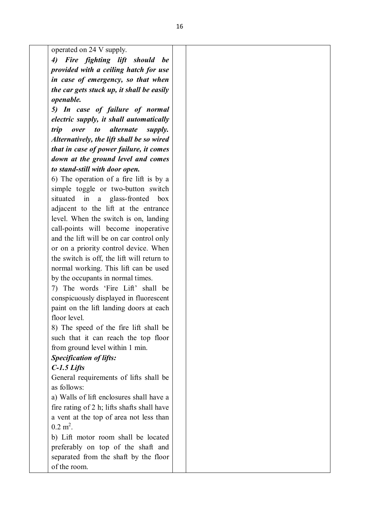operated on 24 V supply.

*4) Fire fighting lift should be provided with a ceiling hatch for use in case of emergency, so that when the car gets stuck up, it shall be easily openable.*

*5) In case of failure of normal electric supply, it shall automatically trip over to alternate supply. Alternatively, the lift shall be so wired that in case of power failure, it comes down at the ground level and comes to stand-still with door open.*

6) The operation of a fire lift is by a simple toggle or two-button switch situated in a glass-fronted box adjacent to the lift at the entrance level. When the switch is on, landing call-points will become inoperative and the lift will be on car control only or on a priority control device. When the switch is off, the lift will return to normal working. This lift can be used by the occupants in normal times.

7) The words 'Fire Lift' shall be conspicuously displayed in fluorescent paint on the lift landing doors at each floor level.

8) The speed of the fire lift shall be such that it can reach the top floor from ground level within 1 min.

## *Specification of lifts:*

## *C-1.5 Lifts*

General requirements of lifts shall be as follows:

a) Walls of lift enclosures shall have a fire rating of 2 h; lifts shafts shall have a vent at the top of area not less than  $0.2 \text{ m}^2$ .

b) Lift motor room shall be located preferably on top of the shaft and separated from the shaft by the floor of the room.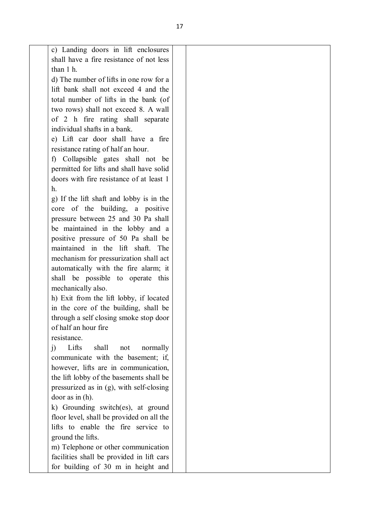c) Landing doors in lift enclosures shall have a fire resistance of not less than 1 h.

d) The number of lifts in one row for a lift bank shall not exceed 4 and the total number of lifts in the bank (of two rows) shall not exceed 8. A wall of 2 h fire rating shall separate individual shafts in a bank.

e) Lift car door shall have a fire resistance rating of half an hour.

f) Collapsible gates shall not be permitted for lifts and shall have solid doors with fire resistance of at least 1 h.

g) If the lift shaft and lobby is in the core of the building, a positive pressure between 25 and 30 Pa shall be maintained in the lobby and a positive pressure of 50 Pa shall be maintained in the lift shaft. The mechanism for pressurization shall act automatically with the fire alarm; it shall be possible to operate this mechanically also.

h) Exit from the lift lobby, if located in the core of the building, shall be through a self closing smoke stop door of half an hour fire

resistance.

j) Lifts shall not normally communicate with the basement; if, however, lifts are in communication, the lift lobby of the basements shall be pressurized as in (g), with self-closing door as in (h).

k) Grounding switch(es), at ground floor level, shall be provided on all the lifts to enable the fire service to ground the lifts.

m) Telephone or other communication facilities shall be provided in lift cars for building of 30 m in height and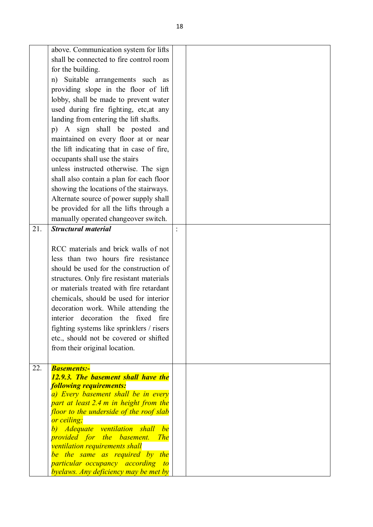| 21. | above. Communication system for lifts<br>shall be connected to fire control room<br>for the building.<br>Suitable arrangements such as<br>n)<br>providing slope in the floor of lift<br>lobby, shall be made to prevent water<br>used during fire fighting, etc, at any<br>landing from entering the lift shafts.<br>p) A sign shall be posted and<br>maintained on every floor at or near<br>the lift indicating that in case of fire,<br>occupants shall use the stairs<br>unless instructed otherwise. The sign<br>shall also contain a plan for each floor<br>showing the locations of the stairways.<br>Alternate source of power supply shall<br>be provided for all the lifts through a<br>manually operated changeover switch.<br><b>Structural material</b><br>RCC materials and brick walls of not<br>less than two hours fire resistance<br>should be used for the construction of<br>structures. Only fire resistant materials<br>or materials treated with fire retardant<br>chemicals, should be used for interior<br>decoration work. While attending the<br>interior decoration the fixed fire<br>fighting systems like sprinklers / risers<br>etc., should not be covered or shifted<br>from their original location. |  |
|-----|----------------------------------------------------------------------------------------------------------------------------------------------------------------------------------------------------------------------------------------------------------------------------------------------------------------------------------------------------------------------------------------------------------------------------------------------------------------------------------------------------------------------------------------------------------------------------------------------------------------------------------------------------------------------------------------------------------------------------------------------------------------------------------------------------------------------------------------------------------------------------------------------------------------------------------------------------------------------------------------------------------------------------------------------------------------------------------------------------------------------------------------------------------------------------------------------------------------------------------------|--|
| 22. | <b>Basements:-</b><br>12.9.3. The basement shall have the<br><b>following requirements:</b><br>a) Every basement shall be in every<br>part at least 2.4 m in height from the<br>floor to the underside of the roof slab<br>or ceiling;<br>b) Adequate ventilation shall<br>be<br>provided for the basement. The<br>ventilation requirements shall<br>be the same as required by the<br><i>particular occupancy according to</i><br>byelaws. Any deficiency may be met by                                                                                                                                                                                                                                                                                                                                                                                                                                                                                                                                                                                                                                                                                                                                                               |  |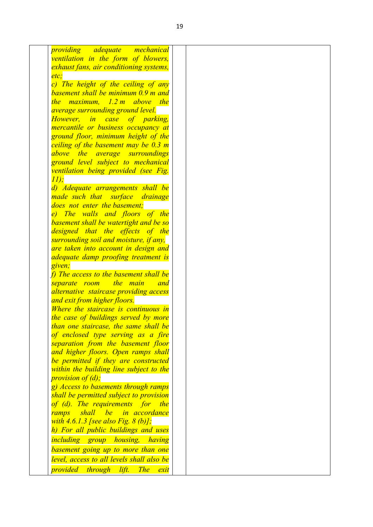| ventilation in the form of blowers,<br>exhaust fans, air conditioning systems,<br>etc.<br>c) The height of the ceiling of any<br>basement shall be minimum 0.9 m and<br>the maximum, 1.2 m above the<br><i>average surrounding ground level.</i><br>However, in case<br>of parking,<br>mercantile or business occupancy at<br>ground floor, minimum height of the<br>ceiling of the basement may be 0.3 m<br>above the average surroundings<br>ground level subject to mechanical<br>ventilation being provided (see Fig.<br>11);<br>d) Adequate arrangements shall be<br>made such that surface drainage<br>does not enter the basement;<br>e) The walls and floors of the<br>basement shall be watertight and be so<br>designed that the effects of the<br>surrounding soil and moisture, if any,<br>are taken into account in design and<br><i>adequate damp proofing treatment is</i><br>given;<br>f) The access to the basement shall be<br>separate room the main<br><b>and</b><br>alternative staircase providing access<br>and exit from higher floors.<br>Where the staircase is continuous in<br>the case of buildings served by more<br>than one staircase, the same shall be<br>of enclosed type serving as a fire<br>separation from the basement floor<br>and higher floors. Open ramps shall<br>be permitted if they are constructed<br>within the building line subject to the<br><i>provision of (d);</i><br>g) Access to basements through ramps<br>shall be permitted subject to provision<br>of (d). The requirements for the<br>shall be in accordance<br>ramps<br>with $4.6.1.3$ [see also Fig. $8$ (b)];<br>h) For all public buildings and uses<br><i>including group housing, having</i><br>basement going up to more than one<br>level, access to all levels shall also be |                                      |  |
|------------------------------------------------------------------------------------------------------------------------------------------------------------------------------------------------------------------------------------------------------------------------------------------------------------------------------------------------------------------------------------------------------------------------------------------------------------------------------------------------------------------------------------------------------------------------------------------------------------------------------------------------------------------------------------------------------------------------------------------------------------------------------------------------------------------------------------------------------------------------------------------------------------------------------------------------------------------------------------------------------------------------------------------------------------------------------------------------------------------------------------------------------------------------------------------------------------------------------------------------------------------------------------------------------------------------------------------------------------------------------------------------------------------------------------------------------------------------------------------------------------------------------------------------------------------------------------------------------------------------------------------------------------------------------------------------------------------------------------------------------------------------------------------------------|--------------------------------------|--|
|                                                                                                                                                                                                                                                                                                                                                                                                                                                                                                                                                                                                                                                                                                                                                                                                                                                                                                                                                                                                                                                                                                                                                                                                                                                                                                                                                                                                                                                                                                                                                                                                                                                                                                                                                                                                      | <i>providing adequate mechanical</i> |  |
|                                                                                                                                                                                                                                                                                                                                                                                                                                                                                                                                                                                                                                                                                                                                                                                                                                                                                                                                                                                                                                                                                                                                                                                                                                                                                                                                                                                                                                                                                                                                                                                                                                                                                                                                                                                                      |                                      |  |
|                                                                                                                                                                                                                                                                                                                                                                                                                                                                                                                                                                                                                                                                                                                                                                                                                                                                                                                                                                                                                                                                                                                                                                                                                                                                                                                                                                                                                                                                                                                                                                                                                                                                                                                                                                                                      |                                      |  |
|                                                                                                                                                                                                                                                                                                                                                                                                                                                                                                                                                                                                                                                                                                                                                                                                                                                                                                                                                                                                                                                                                                                                                                                                                                                                                                                                                                                                                                                                                                                                                                                                                                                                                                                                                                                                      |                                      |  |
|                                                                                                                                                                                                                                                                                                                                                                                                                                                                                                                                                                                                                                                                                                                                                                                                                                                                                                                                                                                                                                                                                                                                                                                                                                                                                                                                                                                                                                                                                                                                                                                                                                                                                                                                                                                                      |                                      |  |
|                                                                                                                                                                                                                                                                                                                                                                                                                                                                                                                                                                                                                                                                                                                                                                                                                                                                                                                                                                                                                                                                                                                                                                                                                                                                                                                                                                                                                                                                                                                                                                                                                                                                                                                                                                                                      |                                      |  |
|                                                                                                                                                                                                                                                                                                                                                                                                                                                                                                                                                                                                                                                                                                                                                                                                                                                                                                                                                                                                                                                                                                                                                                                                                                                                                                                                                                                                                                                                                                                                                                                                                                                                                                                                                                                                      |                                      |  |
|                                                                                                                                                                                                                                                                                                                                                                                                                                                                                                                                                                                                                                                                                                                                                                                                                                                                                                                                                                                                                                                                                                                                                                                                                                                                                                                                                                                                                                                                                                                                                                                                                                                                                                                                                                                                      |                                      |  |
|                                                                                                                                                                                                                                                                                                                                                                                                                                                                                                                                                                                                                                                                                                                                                                                                                                                                                                                                                                                                                                                                                                                                                                                                                                                                                                                                                                                                                                                                                                                                                                                                                                                                                                                                                                                                      |                                      |  |
|                                                                                                                                                                                                                                                                                                                                                                                                                                                                                                                                                                                                                                                                                                                                                                                                                                                                                                                                                                                                                                                                                                                                                                                                                                                                                                                                                                                                                                                                                                                                                                                                                                                                                                                                                                                                      |                                      |  |
|                                                                                                                                                                                                                                                                                                                                                                                                                                                                                                                                                                                                                                                                                                                                                                                                                                                                                                                                                                                                                                                                                                                                                                                                                                                                                                                                                                                                                                                                                                                                                                                                                                                                                                                                                                                                      |                                      |  |
|                                                                                                                                                                                                                                                                                                                                                                                                                                                                                                                                                                                                                                                                                                                                                                                                                                                                                                                                                                                                                                                                                                                                                                                                                                                                                                                                                                                                                                                                                                                                                                                                                                                                                                                                                                                                      |                                      |  |
|                                                                                                                                                                                                                                                                                                                                                                                                                                                                                                                                                                                                                                                                                                                                                                                                                                                                                                                                                                                                                                                                                                                                                                                                                                                                                                                                                                                                                                                                                                                                                                                                                                                                                                                                                                                                      |                                      |  |
|                                                                                                                                                                                                                                                                                                                                                                                                                                                                                                                                                                                                                                                                                                                                                                                                                                                                                                                                                                                                                                                                                                                                                                                                                                                                                                                                                                                                                                                                                                                                                                                                                                                                                                                                                                                                      |                                      |  |
|                                                                                                                                                                                                                                                                                                                                                                                                                                                                                                                                                                                                                                                                                                                                                                                                                                                                                                                                                                                                                                                                                                                                                                                                                                                                                                                                                                                                                                                                                                                                                                                                                                                                                                                                                                                                      |                                      |  |
|                                                                                                                                                                                                                                                                                                                                                                                                                                                                                                                                                                                                                                                                                                                                                                                                                                                                                                                                                                                                                                                                                                                                                                                                                                                                                                                                                                                                                                                                                                                                                                                                                                                                                                                                                                                                      |                                      |  |
|                                                                                                                                                                                                                                                                                                                                                                                                                                                                                                                                                                                                                                                                                                                                                                                                                                                                                                                                                                                                                                                                                                                                                                                                                                                                                                                                                                                                                                                                                                                                                                                                                                                                                                                                                                                                      |                                      |  |
|                                                                                                                                                                                                                                                                                                                                                                                                                                                                                                                                                                                                                                                                                                                                                                                                                                                                                                                                                                                                                                                                                                                                                                                                                                                                                                                                                                                                                                                                                                                                                                                                                                                                                                                                                                                                      |                                      |  |
|                                                                                                                                                                                                                                                                                                                                                                                                                                                                                                                                                                                                                                                                                                                                                                                                                                                                                                                                                                                                                                                                                                                                                                                                                                                                                                                                                                                                                                                                                                                                                                                                                                                                                                                                                                                                      |                                      |  |
|                                                                                                                                                                                                                                                                                                                                                                                                                                                                                                                                                                                                                                                                                                                                                                                                                                                                                                                                                                                                                                                                                                                                                                                                                                                                                                                                                                                                                                                                                                                                                                                                                                                                                                                                                                                                      |                                      |  |
|                                                                                                                                                                                                                                                                                                                                                                                                                                                                                                                                                                                                                                                                                                                                                                                                                                                                                                                                                                                                                                                                                                                                                                                                                                                                                                                                                                                                                                                                                                                                                                                                                                                                                                                                                                                                      |                                      |  |
|                                                                                                                                                                                                                                                                                                                                                                                                                                                                                                                                                                                                                                                                                                                                                                                                                                                                                                                                                                                                                                                                                                                                                                                                                                                                                                                                                                                                                                                                                                                                                                                                                                                                                                                                                                                                      |                                      |  |
|                                                                                                                                                                                                                                                                                                                                                                                                                                                                                                                                                                                                                                                                                                                                                                                                                                                                                                                                                                                                                                                                                                                                                                                                                                                                                                                                                                                                                                                                                                                                                                                                                                                                                                                                                                                                      |                                      |  |
|                                                                                                                                                                                                                                                                                                                                                                                                                                                                                                                                                                                                                                                                                                                                                                                                                                                                                                                                                                                                                                                                                                                                                                                                                                                                                                                                                                                                                                                                                                                                                                                                                                                                                                                                                                                                      |                                      |  |
|                                                                                                                                                                                                                                                                                                                                                                                                                                                                                                                                                                                                                                                                                                                                                                                                                                                                                                                                                                                                                                                                                                                                                                                                                                                                                                                                                                                                                                                                                                                                                                                                                                                                                                                                                                                                      |                                      |  |
|                                                                                                                                                                                                                                                                                                                                                                                                                                                                                                                                                                                                                                                                                                                                                                                                                                                                                                                                                                                                                                                                                                                                                                                                                                                                                                                                                                                                                                                                                                                                                                                                                                                                                                                                                                                                      |                                      |  |
|                                                                                                                                                                                                                                                                                                                                                                                                                                                                                                                                                                                                                                                                                                                                                                                                                                                                                                                                                                                                                                                                                                                                                                                                                                                                                                                                                                                                                                                                                                                                                                                                                                                                                                                                                                                                      |                                      |  |
|                                                                                                                                                                                                                                                                                                                                                                                                                                                                                                                                                                                                                                                                                                                                                                                                                                                                                                                                                                                                                                                                                                                                                                                                                                                                                                                                                                                                                                                                                                                                                                                                                                                                                                                                                                                                      |                                      |  |
|                                                                                                                                                                                                                                                                                                                                                                                                                                                                                                                                                                                                                                                                                                                                                                                                                                                                                                                                                                                                                                                                                                                                                                                                                                                                                                                                                                                                                                                                                                                                                                                                                                                                                                                                                                                                      |                                      |  |
|                                                                                                                                                                                                                                                                                                                                                                                                                                                                                                                                                                                                                                                                                                                                                                                                                                                                                                                                                                                                                                                                                                                                                                                                                                                                                                                                                                                                                                                                                                                                                                                                                                                                                                                                                                                                      |                                      |  |
|                                                                                                                                                                                                                                                                                                                                                                                                                                                                                                                                                                                                                                                                                                                                                                                                                                                                                                                                                                                                                                                                                                                                                                                                                                                                                                                                                                                                                                                                                                                                                                                                                                                                                                                                                                                                      |                                      |  |
|                                                                                                                                                                                                                                                                                                                                                                                                                                                                                                                                                                                                                                                                                                                                                                                                                                                                                                                                                                                                                                                                                                                                                                                                                                                                                                                                                                                                                                                                                                                                                                                                                                                                                                                                                                                                      |                                      |  |
|                                                                                                                                                                                                                                                                                                                                                                                                                                                                                                                                                                                                                                                                                                                                                                                                                                                                                                                                                                                                                                                                                                                                                                                                                                                                                                                                                                                                                                                                                                                                                                                                                                                                                                                                                                                                      |                                      |  |
|                                                                                                                                                                                                                                                                                                                                                                                                                                                                                                                                                                                                                                                                                                                                                                                                                                                                                                                                                                                                                                                                                                                                                                                                                                                                                                                                                                                                                                                                                                                                                                                                                                                                                                                                                                                                      |                                      |  |
|                                                                                                                                                                                                                                                                                                                                                                                                                                                                                                                                                                                                                                                                                                                                                                                                                                                                                                                                                                                                                                                                                                                                                                                                                                                                                                                                                                                                                                                                                                                                                                                                                                                                                                                                                                                                      |                                      |  |
|                                                                                                                                                                                                                                                                                                                                                                                                                                                                                                                                                                                                                                                                                                                                                                                                                                                                                                                                                                                                                                                                                                                                                                                                                                                                                                                                                                                                                                                                                                                                                                                                                                                                                                                                                                                                      |                                      |  |
|                                                                                                                                                                                                                                                                                                                                                                                                                                                                                                                                                                                                                                                                                                                                                                                                                                                                                                                                                                                                                                                                                                                                                                                                                                                                                                                                                                                                                                                                                                                                                                                                                                                                                                                                                                                                      |                                      |  |
|                                                                                                                                                                                                                                                                                                                                                                                                                                                                                                                                                                                                                                                                                                                                                                                                                                                                                                                                                                                                                                                                                                                                                                                                                                                                                                                                                                                                                                                                                                                                                                                                                                                                                                                                                                                                      |                                      |  |
|                                                                                                                                                                                                                                                                                                                                                                                                                                                                                                                                                                                                                                                                                                                                                                                                                                                                                                                                                                                                                                                                                                                                                                                                                                                                                                                                                                                                                                                                                                                                                                                                                                                                                                                                                                                                      |                                      |  |
|                                                                                                                                                                                                                                                                                                                                                                                                                                                                                                                                                                                                                                                                                                                                                                                                                                                                                                                                                                                                                                                                                                                                                                                                                                                                                                                                                                                                                                                                                                                                                                                                                                                                                                                                                                                                      |                                      |  |
|                                                                                                                                                                                                                                                                                                                                                                                                                                                                                                                                                                                                                                                                                                                                                                                                                                                                                                                                                                                                                                                                                                                                                                                                                                                                                                                                                                                                                                                                                                                                                                                                                                                                                                                                                                                                      |                                      |  |
|                                                                                                                                                                                                                                                                                                                                                                                                                                                                                                                                                                                                                                                                                                                                                                                                                                                                                                                                                                                                                                                                                                                                                                                                                                                                                                                                                                                                                                                                                                                                                                                                                                                                                                                                                                                                      |                                      |  |
|                                                                                                                                                                                                                                                                                                                                                                                                                                                                                                                                                                                                                                                                                                                                                                                                                                                                                                                                                                                                                                                                                                                                                                                                                                                                                                                                                                                                                                                                                                                                                                                                                                                                                                                                                                                                      |                                      |  |
|                                                                                                                                                                                                                                                                                                                                                                                                                                                                                                                                                                                                                                                                                                                                                                                                                                                                                                                                                                                                                                                                                                                                                                                                                                                                                                                                                                                                                                                                                                                                                                                                                                                                                                                                                                                                      |                                      |  |
|                                                                                                                                                                                                                                                                                                                                                                                                                                                                                                                                                                                                                                                                                                                                                                                                                                                                                                                                                                                                                                                                                                                                                                                                                                                                                                                                                                                                                                                                                                                                                                                                                                                                                                                                                                                                      |                                      |  |
|                                                                                                                                                                                                                                                                                                                                                                                                                                                                                                                                                                                                                                                                                                                                                                                                                                                                                                                                                                                                                                                                                                                                                                                                                                                                                                                                                                                                                                                                                                                                                                                                                                                                                                                                                                                                      |                                      |  |
|                                                                                                                                                                                                                                                                                                                                                                                                                                                                                                                                                                                                                                                                                                                                                                                                                                                                                                                                                                                                                                                                                                                                                                                                                                                                                                                                                                                                                                                                                                                                                                                                                                                                                                                                                                                                      |                                      |  |
|                                                                                                                                                                                                                                                                                                                                                                                                                                                                                                                                                                                                                                                                                                                                                                                                                                                                                                                                                                                                                                                                                                                                                                                                                                                                                                                                                                                                                                                                                                                                                                                                                                                                                                                                                                                                      |                                      |  |
|                                                                                                                                                                                                                                                                                                                                                                                                                                                                                                                                                                                                                                                                                                                                                                                                                                                                                                                                                                                                                                                                                                                                                                                                                                                                                                                                                                                                                                                                                                                                                                                                                                                                                                                                                                                                      |                                      |  |
|                                                                                                                                                                                                                                                                                                                                                                                                                                                                                                                                                                                                                                                                                                                                                                                                                                                                                                                                                                                                                                                                                                                                                                                                                                                                                                                                                                                                                                                                                                                                                                                                                                                                                                                                                                                                      |                                      |  |
|                                                                                                                                                                                                                                                                                                                                                                                                                                                                                                                                                                                                                                                                                                                                                                                                                                                                                                                                                                                                                                                                                                                                                                                                                                                                                                                                                                                                                                                                                                                                                                                                                                                                                                                                                                                                      |                                      |  |
|                                                                                                                                                                                                                                                                                                                                                                                                                                                                                                                                                                                                                                                                                                                                                                                                                                                                                                                                                                                                                                                                                                                                                                                                                                                                                                                                                                                                                                                                                                                                                                                                                                                                                                                                                                                                      |                                      |  |
|                                                                                                                                                                                                                                                                                                                                                                                                                                                                                                                                                                                                                                                                                                                                                                                                                                                                                                                                                                                                                                                                                                                                                                                                                                                                                                                                                                                                                                                                                                                                                                                                                                                                                                                                                                                                      |                                      |  |
|                                                                                                                                                                                                                                                                                                                                                                                                                                                                                                                                                                                                                                                                                                                                                                                                                                                                                                                                                                                                                                                                                                                                                                                                                                                                                                                                                                                                                                                                                                                                                                                                                                                                                                                                                                                                      |                                      |  |
| lift.<br><b>The</b><br>exit                                                                                                                                                                                                                                                                                                                                                                                                                                                                                                                                                                                                                                                                                                                                                                                                                                                                                                                                                                                                                                                                                                                                                                                                                                                                                                                                                                                                                                                                                                                                                                                                                                                                                                                                                                          | provided through                     |  |
|                                                                                                                                                                                                                                                                                                                                                                                                                                                                                                                                                                                                                                                                                                                                                                                                                                                                                                                                                                                                                                                                                                                                                                                                                                                                                                                                                                                                                                                                                                                                                                                                                                                                                                                                                                                                      |                                      |  |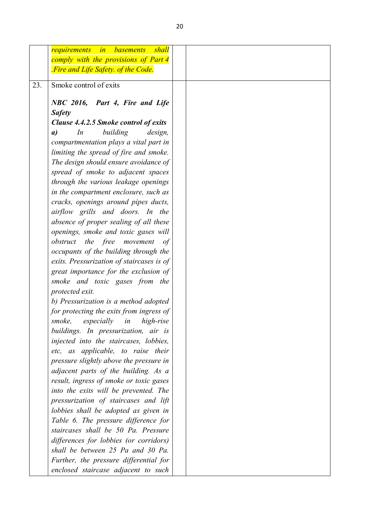|     | shall<br>requirements<br><b>basements</b><br>in                                     |
|-----|-------------------------------------------------------------------------------------|
|     | comply with the provisions of Part 4                                                |
|     | Fire and Life Safety. of the Code.                                                  |
| 23. | Smoke control of exits                                                              |
|     |                                                                                     |
|     | NBC 2016, Part 4, Fire and Life                                                     |
|     | <b>Safety</b>                                                                       |
|     | Clause 4.4.2.5 Smoke control of exits                                               |
|     | building<br>$\boldsymbol{a}$<br>In<br>design,                                       |
|     | compartmentation plays a vital part in                                              |
|     | limiting the spread of fire and smoke.                                              |
|     | The design should ensure avoidance of                                               |
|     | spread of smoke to adjacent spaces                                                  |
|     | through the various leakage openings                                                |
|     | in the compartment enclosure, such as                                               |
|     | cracks, openings around pipes ducts,                                                |
|     | airflow grills and doors. In the                                                    |
|     | absence of proper sealing of all these                                              |
|     | openings, smoke and toxic gases will                                                |
|     | obstruct the free<br>movement<br>of                                                 |
|     | occupants of the building through the                                               |
|     | exits. Pressurization of staircases is of                                           |
|     | great importance for the exclusion of                                               |
|     | smoke and toxic gases from the<br>protected exit.                                   |
|     |                                                                                     |
|     | b) Pressurization is a method adopted                                               |
|     | for protecting the exits from ingress of<br>smoke,<br>especially<br>in<br>high-rise |
|     |                                                                                     |
|     | buildings. In pressurization, air is<br>injected into the staircases, lobbies,      |
|     | etc, as applicable, to raise their                                                  |
|     | pressure slightly above the pressure in                                             |
|     | adjacent parts of the building. As a                                                |
|     | result, ingress of smoke or toxic gases                                             |
|     | into the exits will be prevented. The                                               |
|     | pressurization of staircases and lift                                               |
|     | lobbies shall be adopted as given in                                                |
|     | Table 6. The pressure difference for                                                |
|     | staircases shall be 50 Pa. Pressure                                                 |
|     | differences for lobbies (or corridors)                                              |
|     | shall be between 25 Pa and 30 Pa.                                                   |
|     | Further, the pressure differential for                                              |
|     | enclosed staircase adjacent to such                                                 |
|     |                                                                                     |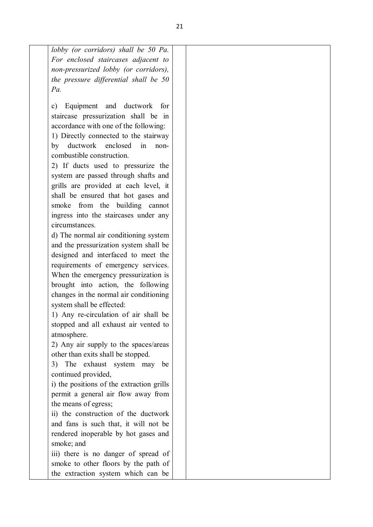| lobby (or corridors) shall be 50 Pa.      |
|-------------------------------------------|
| For enclosed staircases adjacent to       |
| non-pressurized lobby (or corridors),     |
| the pressure differential shall be 50     |
| Pa.                                       |
|                                           |
| Equipment and ductwork<br>for<br>c)       |
| staircase pressurization shall be in      |
| accordance with one of the following:     |
| 1) Directly connected to the stairway     |
| by ductwork enclosed in<br>non-           |
| combustible construction.                 |
| 2) If ducts used to pressurize the        |
| system are passed through shafts and      |
| grills are provided at each level, it     |
| shall be ensured that hot gases and       |
| smoke from the building cannot            |
| ingress into the staircases under any     |
| circumstances.                            |
| d) The normal air conditioning system     |
| and the pressurization system shall be    |
| designed and interfaced to meet the       |
| requirements of emergency services.       |
| When the emergency pressurization is      |
| brought into action, the following        |
| changes in the normal air conditioning    |
| system shall be effected:                 |
| 1) Any re-circulation of air shall be     |
| stopped and all exhaust air vented to     |
| atmosphere.                               |
| 2) Any air supply to the spaces/areas     |
| other than exits shall be stopped.        |
|                                           |
| 3) The exhaust system may<br>be           |
| continued provided,                       |
| i) the positions of the extraction grills |
| permit a general air flow away from       |
| the means of egress;                      |
| ii) the construction of the ductwork      |
| and fans is such that, it will not be     |
| rendered inoperable by hot gases and      |
| smoke; and                                |
| iii) there is no danger of spread of      |
| smoke to other floors by the path of      |
| the extraction system which can be        |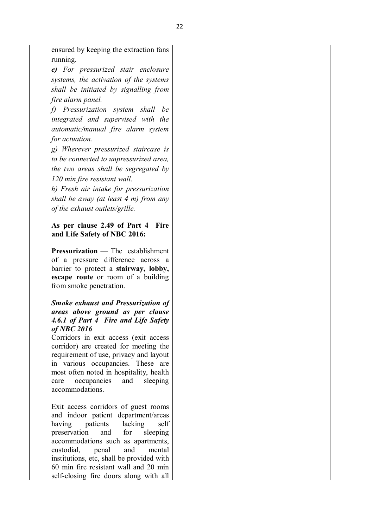| ensured by keeping the extraction fans<br>running.<br>e) For pressurized stair enclosure<br>systems, the activation of the systems<br>shall be initiated by signalling from<br>fire alarm panel.<br>f) Pressurization system shall<br>be<br>integrated and supervised with the<br>automatic/manual fire alarm system<br>for actuation.<br>g) Wherever pressurized staircase is<br>to be connected to unpressurized area,<br>the two areas shall be segregated by<br>120 min fire resistant wall.<br>h) Fresh air intake for pressurization<br>shall be away (at least $4$ m) from any<br>of the exhaust outlets/grille.<br>As per clause 2.49 of Part 4 Fire<br>and Life Safety of NBC 2016:<br><b>Pressurization</b> — The establishment<br>of a pressure difference across a<br>barrier to protect a stairway, lobby,<br>escape route or room of a building<br>from smoke penetration.<br><b>Smoke exhaust and Pressurization of</b><br>areas above ground as per clause<br>4.6.1 of Part 4 Fire and Life Safety<br>$of$ NBC 2016<br>Corridors in exit access (exit access<br>corridor) are created for meeting the<br>requirement of use, privacy and layout<br>in various occupancies. These are<br>most often noted in hospitality, health<br>occupancies and<br>sleeping<br>care<br>accommodations.<br>Exit access corridors of guest rooms<br>and indoor patient department/areas<br>patients lacking<br>having<br>self<br>preservation<br>and<br>for<br>sleeping<br>accommodations such as apartments,<br>and<br>custodial,<br>penal<br>mental<br>institutions, etc, shall be provided with<br>60 min fire resistant wall and 20 min |                                        |  |  |
|----------------------------------------------------------------------------------------------------------------------------------------------------------------------------------------------------------------------------------------------------------------------------------------------------------------------------------------------------------------------------------------------------------------------------------------------------------------------------------------------------------------------------------------------------------------------------------------------------------------------------------------------------------------------------------------------------------------------------------------------------------------------------------------------------------------------------------------------------------------------------------------------------------------------------------------------------------------------------------------------------------------------------------------------------------------------------------------------------------------------------------------------------------------------------------------------------------------------------------------------------------------------------------------------------------------------------------------------------------------------------------------------------------------------------------------------------------------------------------------------------------------------------------------------------------------------------------------------------------------------------------------------|----------------------------------------|--|--|
|                                                                                                                                                                                                                                                                                                                                                                                                                                                                                                                                                                                                                                                                                                                                                                                                                                                                                                                                                                                                                                                                                                                                                                                                                                                                                                                                                                                                                                                                                                                                                                                                                                              |                                        |  |  |
|                                                                                                                                                                                                                                                                                                                                                                                                                                                                                                                                                                                                                                                                                                                                                                                                                                                                                                                                                                                                                                                                                                                                                                                                                                                                                                                                                                                                                                                                                                                                                                                                                                              |                                        |  |  |
|                                                                                                                                                                                                                                                                                                                                                                                                                                                                                                                                                                                                                                                                                                                                                                                                                                                                                                                                                                                                                                                                                                                                                                                                                                                                                                                                                                                                                                                                                                                                                                                                                                              |                                        |  |  |
|                                                                                                                                                                                                                                                                                                                                                                                                                                                                                                                                                                                                                                                                                                                                                                                                                                                                                                                                                                                                                                                                                                                                                                                                                                                                                                                                                                                                                                                                                                                                                                                                                                              |                                        |  |  |
|                                                                                                                                                                                                                                                                                                                                                                                                                                                                                                                                                                                                                                                                                                                                                                                                                                                                                                                                                                                                                                                                                                                                                                                                                                                                                                                                                                                                                                                                                                                                                                                                                                              |                                        |  |  |
|                                                                                                                                                                                                                                                                                                                                                                                                                                                                                                                                                                                                                                                                                                                                                                                                                                                                                                                                                                                                                                                                                                                                                                                                                                                                                                                                                                                                                                                                                                                                                                                                                                              |                                        |  |  |
|                                                                                                                                                                                                                                                                                                                                                                                                                                                                                                                                                                                                                                                                                                                                                                                                                                                                                                                                                                                                                                                                                                                                                                                                                                                                                                                                                                                                                                                                                                                                                                                                                                              |                                        |  |  |
|                                                                                                                                                                                                                                                                                                                                                                                                                                                                                                                                                                                                                                                                                                                                                                                                                                                                                                                                                                                                                                                                                                                                                                                                                                                                                                                                                                                                                                                                                                                                                                                                                                              |                                        |  |  |
|                                                                                                                                                                                                                                                                                                                                                                                                                                                                                                                                                                                                                                                                                                                                                                                                                                                                                                                                                                                                                                                                                                                                                                                                                                                                                                                                                                                                                                                                                                                                                                                                                                              |                                        |  |  |
|                                                                                                                                                                                                                                                                                                                                                                                                                                                                                                                                                                                                                                                                                                                                                                                                                                                                                                                                                                                                                                                                                                                                                                                                                                                                                                                                                                                                                                                                                                                                                                                                                                              |                                        |  |  |
|                                                                                                                                                                                                                                                                                                                                                                                                                                                                                                                                                                                                                                                                                                                                                                                                                                                                                                                                                                                                                                                                                                                                                                                                                                                                                                                                                                                                                                                                                                                                                                                                                                              |                                        |  |  |
|                                                                                                                                                                                                                                                                                                                                                                                                                                                                                                                                                                                                                                                                                                                                                                                                                                                                                                                                                                                                                                                                                                                                                                                                                                                                                                                                                                                                                                                                                                                                                                                                                                              |                                        |  |  |
|                                                                                                                                                                                                                                                                                                                                                                                                                                                                                                                                                                                                                                                                                                                                                                                                                                                                                                                                                                                                                                                                                                                                                                                                                                                                                                                                                                                                                                                                                                                                                                                                                                              |                                        |  |  |
|                                                                                                                                                                                                                                                                                                                                                                                                                                                                                                                                                                                                                                                                                                                                                                                                                                                                                                                                                                                                                                                                                                                                                                                                                                                                                                                                                                                                                                                                                                                                                                                                                                              |                                        |  |  |
|                                                                                                                                                                                                                                                                                                                                                                                                                                                                                                                                                                                                                                                                                                                                                                                                                                                                                                                                                                                                                                                                                                                                                                                                                                                                                                                                                                                                                                                                                                                                                                                                                                              |                                        |  |  |
|                                                                                                                                                                                                                                                                                                                                                                                                                                                                                                                                                                                                                                                                                                                                                                                                                                                                                                                                                                                                                                                                                                                                                                                                                                                                                                                                                                                                                                                                                                                                                                                                                                              |                                        |  |  |
|                                                                                                                                                                                                                                                                                                                                                                                                                                                                                                                                                                                                                                                                                                                                                                                                                                                                                                                                                                                                                                                                                                                                                                                                                                                                                                                                                                                                                                                                                                                                                                                                                                              |                                        |  |  |
|                                                                                                                                                                                                                                                                                                                                                                                                                                                                                                                                                                                                                                                                                                                                                                                                                                                                                                                                                                                                                                                                                                                                                                                                                                                                                                                                                                                                                                                                                                                                                                                                                                              |                                        |  |  |
|                                                                                                                                                                                                                                                                                                                                                                                                                                                                                                                                                                                                                                                                                                                                                                                                                                                                                                                                                                                                                                                                                                                                                                                                                                                                                                                                                                                                                                                                                                                                                                                                                                              |                                        |  |  |
|                                                                                                                                                                                                                                                                                                                                                                                                                                                                                                                                                                                                                                                                                                                                                                                                                                                                                                                                                                                                                                                                                                                                                                                                                                                                                                                                                                                                                                                                                                                                                                                                                                              |                                        |  |  |
|                                                                                                                                                                                                                                                                                                                                                                                                                                                                                                                                                                                                                                                                                                                                                                                                                                                                                                                                                                                                                                                                                                                                                                                                                                                                                                                                                                                                                                                                                                                                                                                                                                              |                                        |  |  |
|                                                                                                                                                                                                                                                                                                                                                                                                                                                                                                                                                                                                                                                                                                                                                                                                                                                                                                                                                                                                                                                                                                                                                                                                                                                                                                                                                                                                                                                                                                                                                                                                                                              |                                        |  |  |
|                                                                                                                                                                                                                                                                                                                                                                                                                                                                                                                                                                                                                                                                                                                                                                                                                                                                                                                                                                                                                                                                                                                                                                                                                                                                                                                                                                                                                                                                                                                                                                                                                                              |                                        |  |  |
|                                                                                                                                                                                                                                                                                                                                                                                                                                                                                                                                                                                                                                                                                                                                                                                                                                                                                                                                                                                                                                                                                                                                                                                                                                                                                                                                                                                                                                                                                                                                                                                                                                              |                                        |  |  |
|                                                                                                                                                                                                                                                                                                                                                                                                                                                                                                                                                                                                                                                                                                                                                                                                                                                                                                                                                                                                                                                                                                                                                                                                                                                                                                                                                                                                                                                                                                                                                                                                                                              |                                        |  |  |
|                                                                                                                                                                                                                                                                                                                                                                                                                                                                                                                                                                                                                                                                                                                                                                                                                                                                                                                                                                                                                                                                                                                                                                                                                                                                                                                                                                                                                                                                                                                                                                                                                                              |                                        |  |  |
|                                                                                                                                                                                                                                                                                                                                                                                                                                                                                                                                                                                                                                                                                                                                                                                                                                                                                                                                                                                                                                                                                                                                                                                                                                                                                                                                                                                                                                                                                                                                                                                                                                              |                                        |  |  |
|                                                                                                                                                                                                                                                                                                                                                                                                                                                                                                                                                                                                                                                                                                                                                                                                                                                                                                                                                                                                                                                                                                                                                                                                                                                                                                                                                                                                                                                                                                                                                                                                                                              |                                        |  |  |
|                                                                                                                                                                                                                                                                                                                                                                                                                                                                                                                                                                                                                                                                                                                                                                                                                                                                                                                                                                                                                                                                                                                                                                                                                                                                                                                                                                                                                                                                                                                                                                                                                                              |                                        |  |  |
|                                                                                                                                                                                                                                                                                                                                                                                                                                                                                                                                                                                                                                                                                                                                                                                                                                                                                                                                                                                                                                                                                                                                                                                                                                                                                                                                                                                                                                                                                                                                                                                                                                              |                                        |  |  |
|                                                                                                                                                                                                                                                                                                                                                                                                                                                                                                                                                                                                                                                                                                                                                                                                                                                                                                                                                                                                                                                                                                                                                                                                                                                                                                                                                                                                                                                                                                                                                                                                                                              |                                        |  |  |
|                                                                                                                                                                                                                                                                                                                                                                                                                                                                                                                                                                                                                                                                                                                                                                                                                                                                                                                                                                                                                                                                                                                                                                                                                                                                                                                                                                                                                                                                                                                                                                                                                                              |                                        |  |  |
|                                                                                                                                                                                                                                                                                                                                                                                                                                                                                                                                                                                                                                                                                                                                                                                                                                                                                                                                                                                                                                                                                                                                                                                                                                                                                                                                                                                                                                                                                                                                                                                                                                              |                                        |  |  |
|                                                                                                                                                                                                                                                                                                                                                                                                                                                                                                                                                                                                                                                                                                                                                                                                                                                                                                                                                                                                                                                                                                                                                                                                                                                                                                                                                                                                                                                                                                                                                                                                                                              |                                        |  |  |
|                                                                                                                                                                                                                                                                                                                                                                                                                                                                                                                                                                                                                                                                                                                                                                                                                                                                                                                                                                                                                                                                                                                                                                                                                                                                                                                                                                                                                                                                                                                                                                                                                                              |                                        |  |  |
|                                                                                                                                                                                                                                                                                                                                                                                                                                                                                                                                                                                                                                                                                                                                                                                                                                                                                                                                                                                                                                                                                                                                                                                                                                                                                                                                                                                                                                                                                                                                                                                                                                              |                                        |  |  |
|                                                                                                                                                                                                                                                                                                                                                                                                                                                                                                                                                                                                                                                                                                                                                                                                                                                                                                                                                                                                                                                                                                                                                                                                                                                                                                                                                                                                                                                                                                                                                                                                                                              |                                        |  |  |
|                                                                                                                                                                                                                                                                                                                                                                                                                                                                                                                                                                                                                                                                                                                                                                                                                                                                                                                                                                                                                                                                                                                                                                                                                                                                                                                                                                                                                                                                                                                                                                                                                                              |                                        |  |  |
|                                                                                                                                                                                                                                                                                                                                                                                                                                                                                                                                                                                                                                                                                                                                                                                                                                                                                                                                                                                                                                                                                                                                                                                                                                                                                                                                                                                                                                                                                                                                                                                                                                              |                                        |  |  |
|                                                                                                                                                                                                                                                                                                                                                                                                                                                                                                                                                                                                                                                                                                                                                                                                                                                                                                                                                                                                                                                                                                                                                                                                                                                                                                                                                                                                                                                                                                                                                                                                                                              |                                        |  |  |
|                                                                                                                                                                                                                                                                                                                                                                                                                                                                                                                                                                                                                                                                                                                                                                                                                                                                                                                                                                                                                                                                                                                                                                                                                                                                                                                                                                                                                                                                                                                                                                                                                                              | self-closing fire doors along with all |  |  |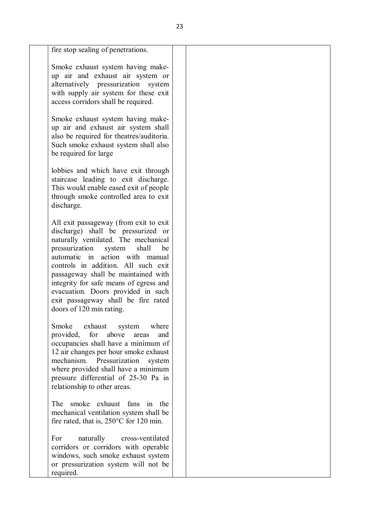| fire stop sealing of penetrations.                                                                                                                                                                                                                                                                                                                                                                                   |                                           |  |
|----------------------------------------------------------------------------------------------------------------------------------------------------------------------------------------------------------------------------------------------------------------------------------------------------------------------------------------------------------------------------------------------------------------------|-------------------------------------------|--|
| Smoke exhaust system having make-<br>up air and exhaust air system or<br>alternatively pressurization system<br>with supply air system for these exit<br>access corridors shall be required.                                                                                                                                                                                                                         |                                           |  |
| Smoke exhaust system having make-<br>up air and exhaust air system shall<br>also be required for theatres/auditoria.<br>Such smoke exhaust system shall also<br>be required for large                                                                                                                                                                                                                                |                                           |  |
| lobbies and which have exit through<br>staircase leading to exit discharge.<br>This would enable eased exit of people<br>through smoke controlled area to exit<br>discharge.                                                                                                                                                                                                                                         |                                           |  |
| All exit passageway (from exit to exit<br>discharge) shall be pressurized or<br>naturally ventilated. The mechanical<br>pressurization<br>system<br>automatic in action with manual<br>controls in addition. All such exit<br>passageway shall be maintained with<br>integrity for safe means of egress and<br>evacuation. Doors provided in such<br>exit passageway shall be fire rated<br>doors of 120 min rating. | shall<br>be                               |  |
| exhaust<br>Smoke<br>for<br>provided,<br>above<br>occupancies shall have a minimum of<br>12 air changes per hour smoke exhaust<br>mechanism. Pressurization<br>where provided shall have a minimum<br>pressure differential of 25-30 Pa in<br>relationship to other areas.                                                                                                                                            | system<br>where<br>areas<br>and<br>system |  |
| smoke exhaust<br>The<br>mechanical ventilation system shall be<br>fire rated, that is, $250^{\circ}$ C for 120 min.                                                                                                                                                                                                                                                                                                  | fans<br>the<br>in                         |  |
| For<br>naturally<br>corridors or corridors with operable<br>windows, such smoke exhaust system<br>or pressurization system will not be<br>required.                                                                                                                                                                                                                                                                  | cross-ventilated                          |  |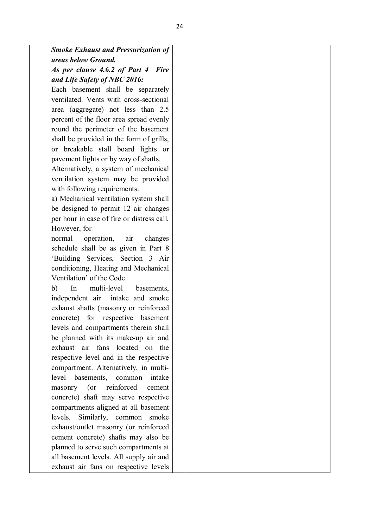| <b>Smoke Exhaust and Pressurization of</b> |                                                                                                                                                                                                                                                                                                                                                                                                                                                                                                                                                                                                                                                                                                                                                                  |
|--------------------------------------------|------------------------------------------------------------------------------------------------------------------------------------------------------------------------------------------------------------------------------------------------------------------------------------------------------------------------------------------------------------------------------------------------------------------------------------------------------------------------------------------------------------------------------------------------------------------------------------------------------------------------------------------------------------------------------------------------------------------------------------------------------------------|
|                                            |                                                                                                                                                                                                                                                                                                                                                                                                                                                                                                                                                                                                                                                                                                                                                                  |
|                                            |                                                                                                                                                                                                                                                                                                                                                                                                                                                                                                                                                                                                                                                                                                                                                                  |
|                                            |                                                                                                                                                                                                                                                                                                                                                                                                                                                                                                                                                                                                                                                                                                                                                                  |
|                                            |                                                                                                                                                                                                                                                                                                                                                                                                                                                                                                                                                                                                                                                                                                                                                                  |
|                                            |                                                                                                                                                                                                                                                                                                                                                                                                                                                                                                                                                                                                                                                                                                                                                                  |
| area (aggregate) not less than 2.5         |                                                                                                                                                                                                                                                                                                                                                                                                                                                                                                                                                                                                                                                                                                                                                                  |
| percent of the floor area spread evenly    |                                                                                                                                                                                                                                                                                                                                                                                                                                                                                                                                                                                                                                                                                                                                                                  |
| round the perimeter of the basement        |                                                                                                                                                                                                                                                                                                                                                                                                                                                                                                                                                                                                                                                                                                                                                                  |
| shall be provided in the form of grills,   |                                                                                                                                                                                                                                                                                                                                                                                                                                                                                                                                                                                                                                                                                                                                                                  |
| or breakable stall board lights or         |                                                                                                                                                                                                                                                                                                                                                                                                                                                                                                                                                                                                                                                                                                                                                                  |
| pavement lights or by way of shafts.       |                                                                                                                                                                                                                                                                                                                                                                                                                                                                                                                                                                                                                                                                                                                                                                  |
| Alternatively, a system of mechanical      |                                                                                                                                                                                                                                                                                                                                                                                                                                                                                                                                                                                                                                                                                                                                                                  |
| ventilation system may be provided         |                                                                                                                                                                                                                                                                                                                                                                                                                                                                                                                                                                                                                                                                                                                                                                  |
| with following requirements:               |                                                                                                                                                                                                                                                                                                                                                                                                                                                                                                                                                                                                                                                                                                                                                                  |
| a) Mechanical ventilation system shall     |                                                                                                                                                                                                                                                                                                                                                                                                                                                                                                                                                                                                                                                                                                                                                                  |
| be designed to permit 12 air changes       |                                                                                                                                                                                                                                                                                                                                                                                                                                                                                                                                                                                                                                                                                                                                                                  |
| per hour in case of fire or distress call. |                                                                                                                                                                                                                                                                                                                                                                                                                                                                                                                                                                                                                                                                                                                                                                  |
| However, for                               |                                                                                                                                                                                                                                                                                                                                                                                                                                                                                                                                                                                                                                                                                                                                                                  |
| operation, air changes<br>normal           |                                                                                                                                                                                                                                                                                                                                                                                                                                                                                                                                                                                                                                                                                                                                                                  |
| schedule shall be as given in Part 8       |                                                                                                                                                                                                                                                                                                                                                                                                                                                                                                                                                                                                                                                                                                                                                                  |
| 'Building Services, Section 3 Air          |                                                                                                                                                                                                                                                                                                                                                                                                                                                                                                                                                                                                                                                                                                                                                                  |
| conditioning, Heating and Mechanical       |                                                                                                                                                                                                                                                                                                                                                                                                                                                                                                                                                                                                                                                                                                                                                                  |
| Ventilation' of the Code.                  |                                                                                                                                                                                                                                                                                                                                                                                                                                                                                                                                                                                                                                                                                                                                                                  |
| multi-level<br>In<br>b)<br>basements,      |                                                                                                                                                                                                                                                                                                                                                                                                                                                                                                                                                                                                                                                                                                                                                                  |
| independent air intake and smoke           |                                                                                                                                                                                                                                                                                                                                                                                                                                                                                                                                                                                                                                                                                                                                                                  |
|                                            |                                                                                                                                                                                                                                                                                                                                                                                                                                                                                                                                                                                                                                                                                                                                                                  |
|                                            |                                                                                                                                                                                                                                                                                                                                                                                                                                                                                                                                                                                                                                                                                                                                                                  |
| levels and compartments therein shall      |                                                                                                                                                                                                                                                                                                                                                                                                                                                                                                                                                                                                                                                                                                                                                                  |
|                                            |                                                                                                                                                                                                                                                                                                                                                                                                                                                                                                                                                                                                                                                                                                                                                                  |
| exhaust air fans located on the            |                                                                                                                                                                                                                                                                                                                                                                                                                                                                                                                                                                                                                                                                                                                                                                  |
|                                            |                                                                                                                                                                                                                                                                                                                                                                                                                                                                                                                                                                                                                                                                                                                                                                  |
|                                            |                                                                                                                                                                                                                                                                                                                                                                                                                                                                                                                                                                                                                                                                                                                                                                  |
| intake                                     |                                                                                                                                                                                                                                                                                                                                                                                                                                                                                                                                                                                                                                                                                                                                                                  |
| cement                                     |                                                                                                                                                                                                                                                                                                                                                                                                                                                                                                                                                                                                                                                                                                                                                                  |
|                                            |                                                                                                                                                                                                                                                                                                                                                                                                                                                                                                                                                                                                                                                                                                                                                                  |
|                                            |                                                                                                                                                                                                                                                                                                                                                                                                                                                                                                                                                                                                                                                                                                                                                                  |
| levels.                                    |                                                                                                                                                                                                                                                                                                                                                                                                                                                                                                                                                                                                                                                                                                                                                                  |
|                                            |                                                                                                                                                                                                                                                                                                                                                                                                                                                                                                                                                                                                                                                                                                                                                                  |
|                                            |                                                                                                                                                                                                                                                                                                                                                                                                                                                                                                                                                                                                                                                                                                                                                                  |
|                                            |                                                                                                                                                                                                                                                                                                                                                                                                                                                                                                                                                                                                                                                                                                                                                                  |
|                                            |                                                                                                                                                                                                                                                                                                                                                                                                                                                                                                                                                                                                                                                                                                                                                                  |
|                                            |                                                                                                                                                                                                                                                                                                                                                                                                                                                                                                                                                                                                                                                                                                                                                                  |
|                                            | areas below Ground.<br>As per clause 4.6.2 of Part 4 Fire<br>and Life Safety of NBC 2016:<br>Each basement shall be separately<br>ventilated. Vents with cross-sectional<br>exhaust shafts (masonry or reinforced<br>concrete) for respective basement<br>be planned with its make-up air and<br>respective level and in the respective<br>compartment. Alternatively, in multi-<br>level basements, common<br>reinforced<br>masonry (or<br>concrete) shaft may serve respective<br>compartments aligned at all basement<br>Similarly, common smoke<br>exhaust/outlet masonry (or reinforced<br>cement concrete) shafts may also be<br>planned to serve such compartments at<br>all basement levels. All supply air and<br>exhaust air fans on respective levels |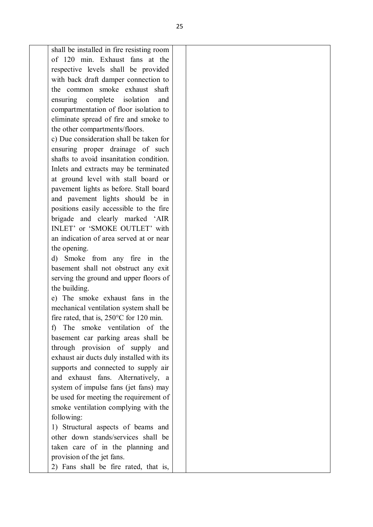shall be installed in fire resisting room of 120 min. Exhaust fans at the respective levels shall be provided with back draft damper connection to the common smoke exhaust shaft ensuring complete isolation and compartmentation of floor isolation to eliminate spread of fire and smoke to the other compartments/floors.

c) Due consideration shall be taken for ensuring proper drainage of such shafts to avoid insanitation condition. Inlets and extracts may be terminated at ground level with stall board or pavement lights as before. Stall board and pavement lights should be in positions easily accessible to the fire brigade and clearly marked 'AIR INLET' or 'SMOKE OUTLET' with an indication of area served at or near the opening.

d) Smoke from any fire in the basement shall not obstruct any exit serving the ground and upper floors of the building.

e) The smoke exhaust fans in the mechanical ventilation system shall be fire rated, that is, 250°C for 120 min.

f) The smoke ventilation of the basement car parking areas shall be through provision of supply and exhaust air ducts duly installed with its supports and connected to supply air and exhaust fans. Alternatively, a system of impulse fans (jet fans) may be used for meeting the requirement of smoke ventilation complying with the following:

1) Structural aspects of beams and other down stands/services shall be taken care of in the planning and provision of the jet fans.

2) Fans shall be fire rated, that is,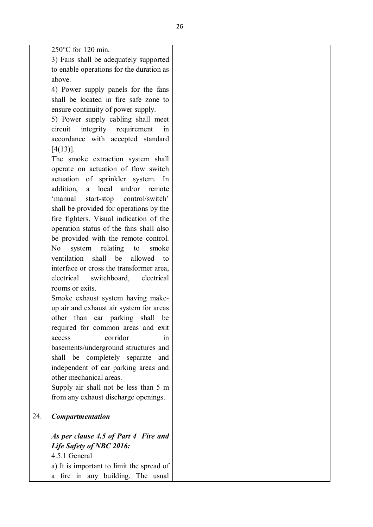|     | $250^{\circ}$ C for 120 min.                     |  |
|-----|--------------------------------------------------|--|
|     | 3) Fans shall be adequately supported            |  |
|     | to enable operations for the duration as         |  |
|     | above.                                           |  |
|     | 4) Power supply panels for the fans              |  |
|     | shall be located in fire safe zone to            |  |
|     | ensure continuity of power supply.               |  |
|     | 5) Power supply cabling shall meet               |  |
|     | integrity requirement<br>circuit<br>in           |  |
|     | accordance with accepted standard                |  |
|     | $[4(13)]$ .                                      |  |
|     | The smoke extraction system shall                |  |
|     | operate on actuation of flow switch              |  |
|     | actuation of sprinkler system. In                |  |
|     | local and/or<br>addition,<br>remote<br>a         |  |
|     | 'manual<br>start-stop<br>control/switch'         |  |
|     |                                                  |  |
|     | shall be provided for operations by the          |  |
|     | fire fighters. Visual indication of the          |  |
|     | operation status of the fans shall also          |  |
|     | be provided with the remote control.             |  |
|     | system relating<br>N <sub>o</sub><br>to<br>smoke |  |
|     | ventilation shall be<br>allowed<br>to            |  |
|     | interface or cross the transformer area,         |  |
|     | electrical switchboard,<br>electrical            |  |
|     | rooms or exits.                                  |  |
|     | Smoke exhaust system having make-                |  |
|     | up air and exhaust air system for areas          |  |
|     | other than car parking<br>shall<br>be            |  |
|     | required for common areas and exit               |  |
|     | corridor<br>access<br>1n                         |  |
|     | basements/underground structures and             |  |
|     | shall be completely separate and                 |  |
|     | independent of car parking areas and             |  |
|     | other mechanical areas.                          |  |
|     | Supply air shall not be less than 5 m            |  |
|     | from any exhaust discharge openings.             |  |
|     |                                                  |  |
| 24. | <b>Compartmentation</b>                          |  |
|     | As per clause 4.5 of Part 4 Fire and             |  |
|     | Life Safety of NBC 2016:                         |  |
|     | 4.5.1 General                                    |  |
|     | a) It is important to limit the spread of        |  |
|     | a fire in any building. The usual                |  |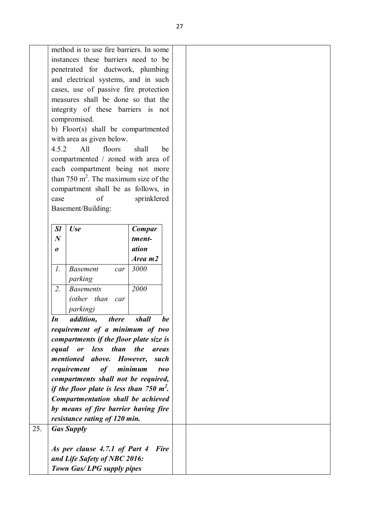|                  | method is to use fire barriers. In some     |                |
|------------------|---------------------------------------------|----------------|
|                  | instances these barriers need to be         |                |
|                  | penetrated for ductwork, plumbing           |                |
|                  | and electrical systems, and in such         |                |
|                  | cases, use of passive fire protection       |                |
|                  | measures shall be done so that the          |                |
|                  | integrity of these barriers is not          |                |
|                  | compromised.                                |                |
|                  | b) Floor(s) shall be compartmented          |                |
|                  | with area as given below.                   |                |
| 4.5.2            | All<br>floors                               | shall<br>be    |
|                  |                                             |                |
|                  | compartmented / zoned with area of          |                |
|                  | each compartment being not more             |                |
|                  | than 750 $m^2$ . The maximum size of the    |                |
|                  | compartment shall be as follows, in         |                |
| case             | of                                          | sprinklered    |
|                  | Basement/Building:                          |                |
|                  |                                             |                |
| <b>Sl</b>        | <b>Use</b>                                  | Compar         |
| $\boldsymbol{N}$ |                                             | tment-         |
| 0                |                                             | ation          |
|                  |                                             | Area m2        |
| $\mathcal{I}$ .  | <b>Basement</b><br>car                      | 3000           |
|                  |                                             |                |
| 2.               | parking<br><b>Basements</b>                 | 2000           |
|                  |                                             |                |
|                  | (other than<br>car                          |                |
|                  | <i>parking</i> )                            |                |
| In               | <i>addition</i> , <i>there</i>              | be<br>shall    |
|                  | requirement of a minimum of two             |                |
|                  | compartments if the floor plate size is     |                |
|                  | equal<br>or less than the                   | areas          |
|                  | mentioned above. However,                   | such           |
|                  | requirement<br>of                           | minimum<br>two |
|                  | compartments shall not be required,         |                |
|                  | if the floor plate is less than 750 $m^2$ . |                |
|                  | Compartmentation shall be achieved          |                |
|                  |                                             |                |
|                  | by means of fire barrier having fire        |                |
|                  | resistance rating of 120 min.               |                |
| 25.              | <b>Gas Supply</b>                           |                |
|                  |                                             |                |
|                  | As per clause 4.7.1 of Part 4               | <b>Fire</b>    |
|                  | and Life Safety of NBC 2016:                |                |
|                  | Town Gas/LPG supply pipes                   |                |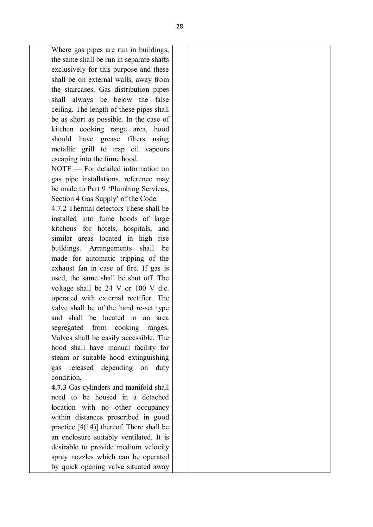Where gas pipes are run in buildings, the same shall be run in separate shafts exclusively for this purpose and these shall be on external walls, away from the staircases. Gas distribution pipes shall always be below the false ceiling. The length of these pipes shall be as short as possible. In the case of kitchen cooking range area, hood should have grease filters using metallic grill to trap oil vapours escaping into the fume hood. NOTE — For detailed information on gas pipe installations, reference may be made to Part 9 'Plumbing Services, Section 4 Gas Supply' of the Code. 4.7.2 Thermal detectors These shall be installed into fume hoods of large kitchens for hotels, hospitals, and similar areas located in high rise buildings. Arrangements shall be made for automatic tripping of the exhaust fan in case of fire. If gas is used, the same shall be shut off. The voltage shall be 24 V or 100 V d.c. operated with external rectifier. The valve shall be of the hand re-set type and shall be located in an area segregated from cooking ranges. Valves shall be easily accessible. The hood shall have manual facility for steam or suitable hood extinguishing gas released depending on duty condition. **4.7.3** Gas cylinders and manifold shall need to be housed in a detached location with no other occupancy within distances prescribed in good practice  $[4(14)]$  thereof. There shall be an enclosure suitably ventilated. It is desirable to provide medium velocity

spray nozzles which can be operated by quick opening valve situated away

28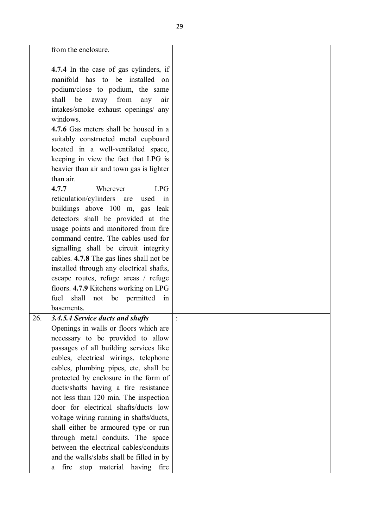| from the enclosure.                       |                                                                                                                                                                                                                                                                                                                                                                                                                                                                                                                                                                                                                                                                                                                                                                                     |
|-------------------------------------------|-------------------------------------------------------------------------------------------------------------------------------------------------------------------------------------------------------------------------------------------------------------------------------------------------------------------------------------------------------------------------------------------------------------------------------------------------------------------------------------------------------------------------------------------------------------------------------------------------------------------------------------------------------------------------------------------------------------------------------------------------------------------------------------|
|                                           |                                                                                                                                                                                                                                                                                                                                                                                                                                                                                                                                                                                                                                                                                                                                                                                     |
|                                           |                                                                                                                                                                                                                                                                                                                                                                                                                                                                                                                                                                                                                                                                                                                                                                                     |
|                                           |                                                                                                                                                                                                                                                                                                                                                                                                                                                                                                                                                                                                                                                                                                                                                                                     |
| podium/close to podium, the same          |                                                                                                                                                                                                                                                                                                                                                                                                                                                                                                                                                                                                                                                                                                                                                                                     |
| shall<br>be<br>away<br>from<br>any<br>air |                                                                                                                                                                                                                                                                                                                                                                                                                                                                                                                                                                                                                                                                                                                                                                                     |
| intakes/smoke exhaust openings/ any       |                                                                                                                                                                                                                                                                                                                                                                                                                                                                                                                                                                                                                                                                                                                                                                                     |
| windows.                                  |                                                                                                                                                                                                                                                                                                                                                                                                                                                                                                                                                                                                                                                                                                                                                                                     |
| 4.7.6 Gas meters shall be housed in a     |                                                                                                                                                                                                                                                                                                                                                                                                                                                                                                                                                                                                                                                                                                                                                                                     |
| suitably constructed metal cupboard       |                                                                                                                                                                                                                                                                                                                                                                                                                                                                                                                                                                                                                                                                                                                                                                                     |
| located in a well-ventilated space,       |                                                                                                                                                                                                                                                                                                                                                                                                                                                                                                                                                                                                                                                                                                                                                                                     |
| keeping in view the fact that LPG is      |                                                                                                                                                                                                                                                                                                                                                                                                                                                                                                                                                                                                                                                                                                                                                                                     |
|                                           |                                                                                                                                                                                                                                                                                                                                                                                                                                                                                                                                                                                                                                                                                                                                                                                     |
| than air.                                 |                                                                                                                                                                                                                                                                                                                                                                                                                                                                                                                                                                                                                                                                                                                                                                                     |
| 4.7.7                                     |                                                                                                                                                                                                                                                                                                                                                                                                                                                                                                                                                                                                                                                                                                                                                                                     |
|                                           |                                                                                                                                                                                                                                                                                                                                                                                                                                                                                                                                                                                                                                                                                                                                                                                     |
|                                           |                                                                                                                                                                                                                                                                                                                                                                                                                                                                                                                                                                                                                                                                                                                                                                                     |
|                                           |                                                                                                                                                                                                                                                                                                                                                                                                                                                                                                                                                                                                                                                                                                                                                                                     |
|                                           |                                                                                                                                                                                                                                                                                                                                                                                                                                                                                                                                                                                                                                                                                                                                                                                     |
|                                           |                                                                                                                                                                                                                                                                                                                                                                                                                                                                                                                                                                                                                                                                                                                                                                                     |
|                                           |                                                                                                                                                                                                                                                                                                                                                                                                                                                                                                                                                                                                                                                                                                                                                                                     |
|                                           |                                                                                                                                                                                                                                                                                                                                                                                                                                                                                                                                                                                                                                                                                                                                                                                     |
|                                           |                                                                                                                                                                                                                                                                                                                                                                                                                                                                                                                                                                                                                                                                                                                                                                                     |
|                                           |                                                                                                                                                                                                                                                                                                                                                                                                                                                                                                                                                                                                                                                                                                                                                                                     |
|                                           |                                                                                                                                                                                                                                                                                                                                                                                                                                                                                                                                                                                                                                                                                                                                                                                     |
|                                           |                                                                                                                                                                                                                                                                                                                                                                                                                                                                                                                                                                                                                                                                                                                                                                                     |
|                                           |                                                                                                                                                                                                                                                                                                                                                                                                                                                                                                                                                                                                                                                                                                                                                                                     |
|                                           |                                                                                                                                                                                                                                                                                                                                                                                                                                                                                                                                                                                                                                                                                                                                                                                     |
|                                           |                                                                                                                                                                                                                                                                                                                                                                                                                                                                                                                                                                                                                                                                                                                                                                                     |
|                                           |                                                                                                                                                                                                                                                                                                                                                                                                                                                                                                                                                                                                                                                                                                                                                                                     |
|                                           |                                                                                                                                                                                                                                                                                                                                                                                                                                                                                                                                                                                                                                                                                                                                                                                     |
|                                           |                                                                                                                                                                                                                                                                                                                                                                                                                                                                                                                                                                                                                                                                                                                                                                                     |
| cables, electrical wirings, telephone     |                                                                                                                                                                                                                                                                                                                                                                                                                                                                                                                                                                                                                                                                                                                                                                                     |
| cables, plumbing pipes, etc, shall be     |                                                                                                                                                                                                                                                                                                                                                                                                                                                                                                                                                                                                                                                                                                                                                                                     |
| protected by enclosure in the form of     |                                                                                                                                                                                                                                                                                                                                                                                                                                                                                                                                                                                                                                                                                                                                                                                     |
| ducts/shafts having a fire resistance     |                                                                                                                                                                                                                                                                                                                                                                                                                                                                                                                                                                                                                                                                                                                                                                                     |
| not less than 120 min. The inspection     |                                                                                                                                                                                                                                                                                                                                                                                                                                                                                                                                                                                                                                                                                                                                                                                     |
| door for electrical shafts/ducts low      |                                                                                                                                                                                                                                                                                                                                                                                                                                                                                                                                                                                                                                                                                                                                                                                     |
| voltage wiring running in shafts/ducts,   |                                                                                                                                                                                                                                                                                                                                                                                                                                                                                                                                                                                                                                                                                                                                                                                     |
| shall either be armoured type or run      |                                                                                                                                                                                                                                                                                                                                                                                                                                                                                                                                                                                                                                                                                                                                                                                     |
| through metal conduits. The space         |                                                                                                                                                                                                                                                                                                                                                                                                                                                                                                                                                                                                                                                                                                                                                                                     |
| between the electrical cables/conduits    |                                                                                                                                                                                                                                                                                                                                                                                                                                                                                                                                                                                                                                                                                                                                                                                     |
| and the walls/slabs shall be filled in by |                                                                                                                                                                                                                                                                                                                                                                                                                                                                                                                                                                                                                                                                                                                                                                                     |
| stop material having<br>fire<br>fire<br>a |                                                                                                                                                                                                                                                                                                                                                                                                                                                                                                                                                                                                                                                                                                                                                                                     |
|                                           | 4.7.4 In the case of gas cylinders, if<br>manifold has to be installed on<br>heavier than air and town gas is lighter<br>Wherever<br>LPG<br>reticulation/cylinders are<br>used in<br>buildings above 100 m, gas leak<br>detectors shall be provided at the<br>usage points and monitored from fire<br>command centre. The cables used for<br>signalling shall be circuit integrity<br>cables. 4.7.8 The gas lines shall not be<br>installed through any electrical shafts,<br>escape routes, refuge areas / refuge<br>floors. 4.7.9 Kitchens working on LPG<br>shall<br>be permitted<br>fuel<br>not<br>in<br>basements.<br>3.4.5.4 Service ducts and shafts<br>Openings in walls or floors which are<br>necessary to be provided to allow<br>passages of all building services like |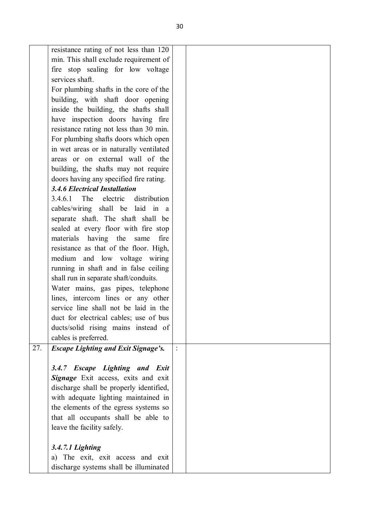|     | resistance rating of not less than 120     |               |  |
|-----|--------------------------------------------|---------------|--|
|     | min. This shall exclude requirement of     |               |  |
|     | fire stop sealing for low voltage          |               |  |
|     | services shaft.                            |               |  |
|     | For plumbing shafts in the core of the     |               |  |
|     | building, with shaft door opening          |               |  |
|     | inside the building, the shafts shall      |               |  |
|     | have inspection doors having fire          |               |  |
|     |                                            |               |  |
|     | resistance rating not less than 30 min.    |               |  |
|     | For plumbing shafts doors which open       |               |  |
|     | in wet areas or in naturally ventilated    |               |  |
|     | areas or on external wall of the           |               |  |
|     | building, the shafts may not require       |               |  |
|     | doors having any specified fire rating.    |               |  |
|     | <b>3.4.6 Electrical Installation</b>       |               |  |
|     | 3.4.6.1<br>The<br>electric<br>distribution |               |  |
|     | cables/wiring shall be laid in a           |               |  |
|     | separate shaft. The shaft shall be         |               |  |
|     | sealed at every floor with fire stop       |               |  |
|     | materials having the<br>fire<br>same       |               |  |
|     | resistance as that of the floor. High,     |               |  |
|     | medium and low voltage wiring              |               |  |
|     | running in shaft and in false ceiling      |               |  |
|     | shall run in separate shaft/conduits.      |               |  |
|     | Water mains, gas pipes, telephone          |               |  |
|     | lines, intercom lines or any other         |               |  |
|     | service line shall not be laid in the      |               |  |
|     | duct for electrical cables; use of bus     |               |  |
|     | ducts/solid rising mains instead of        |               |  |
|     | cables is preferred.                       |               |  |
| 27. | <b>Escape Lighting and Exit Signage's.</b> | $\frac{1}{2}$ |  |
|     |                                            |               |  |
|     | 3.4.7 Escape Lighting and Exit             |               |  |
|     | Signage Exit access, exits and exit        |               |  |
|     | discharge shall be properly identified,    |               |  |
|     | with adequate lighting maintained in       |               |  |
|     | the elements of the egress systems so      |               |  |
|     | that all occupants shall be able to        |               |  |
|     | leave the facility safely.                 |               |  |
|     |                                            |               |  |
|     | 3.4.7.1 Lighting                           |               |  |
|     | a) The exit, exit access and exit          |               |  |
|     | discharge systems shall be illuminated     |               |  |
|     |                                            |               |  |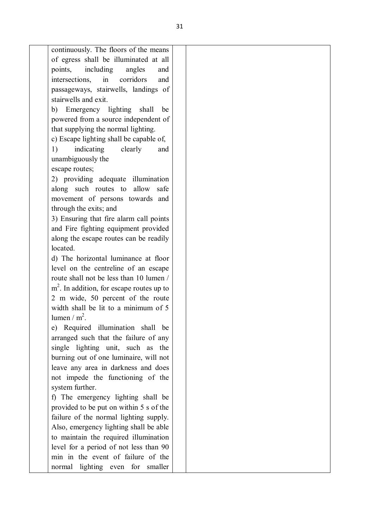intersections, in corridors and passageways, stairwells, landings of stairwells and exit. b) Emergency lighting shall be powered from a source independent of that supplying the normal lighting. c) Escape lighting shall be capable of, 1) indicating clearly and unambiguously the escape routes; 2) providing adequate illumination along such routes to allow safe movement of persons towards and through the exits; and 3) Ensuring that fire alarm call points and Fire fighting equipment provided along the escape routes can be readily located. d) The horizontal luminance at floor level on the centreline of an escape route shall not be less than 10 lumen / m<sup>2</sup>. In addition, for escape routes up to 2 m wide, 50 percent of the route width shall be lit to a minimum of 5 lumen /  $m^2$ . e) Required illumination shall be arranged such that the failure of any single lighting unit, such as the burning out of one luminaire, will not leave any area in darkness and does not impede the functioning of the system further. f) The emergency lighting shall be provided to be put on within 5 s of the failure of the normal lighting supply. Also, emergency lighting shall be able to maintain the required illumination level for a period of not less than 90 min in the event of failure of the normal lighting even for smaller

continuously. The floors of the means of egress shall be illuminated at all points, including angles and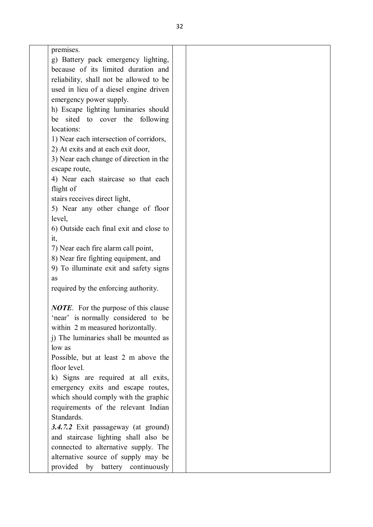| premises.<br>٠ |
|----------------|
|                |

g) Battery pack emergency lighting, because of its limited duration and reliability, shall not be allowed to be used in lieu of a diesel engine driven emergency power supply.

h) Escape lighting luminaries should be sited to cover the following locations:

1) Near each intersection of corridors,

2) At exits and at each exit door,

3) Near each change of direction in the escape route,

4) Near each staircase so that each flight of

stairs receives direct light,

5) Near any other change of floor level,

6) Outside each final exit and close to it,

7) Near each fire alarm call point,

8) Near fire fighting equipment, and

9) To illuminate exit and safety signs as

required by the enforcing authority.

*NOTE*. For the purpose of this clause 'near' is normally considered to be within 2 m measured horizontally.

j) The luminaries shall be mounted as low as

Possible, but at least 2 m above the floor level.

k) Signs are required at all exits, emergency exits and escape routes, which should comply with the graphic requirements of the relevant Indian **Standards** 

*3.4.7.2* Exit passageway (at ground) and staircase lighting shall also be connected to alternative supply. The alternative source of supply may be provided by battery continuously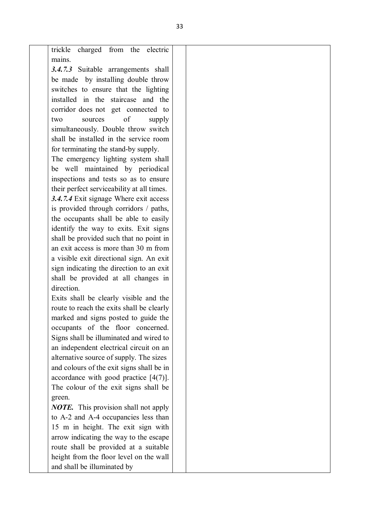| charged<br>from the<br>trickle<br>electric            |  |
|-------------------------------------------------------|--|
| mains.                                                |  |
| 3.4.7.3 Suitable arrangements shall                   |  |
| be made by installing double throw                    |  |
| switches to ensure that the lighting                  |  |
| installed in the staircase and the                    |  |
| corridor does not get connected to                    |  |
| of<br>sources<br>supply<br>two                        |  |
| simultaneously. Double throw switch                   |  |
| shall be installed in the service room                |  |
| for terminating the stand-by supply.                  |  |
| The emergency lighting system shall                   |  |
| be well maintained by periodical                      |  |
| inspections and tests so as to ensure                 |  |
| their perfect serviceability at all times.            |  |
| 3.4.7.4 Exit signage Where exit access                |  |
| is provided through corridors / paths,                |  |
| the occupants shall be able to easily                 |  |
| identify the way to exits. Exit signs                 |  |
| shall be provided such that no point in               |  |
| an exit access is more than 30 m from                 |  |
| a visible exit directional sign. An exit              |  |
| sign indicating the direction to an exit              |  |
| shall be provided at all changes in                   |  |
| direction.                                            |  |
| Exits shall be clearly visible and the                |  |
| route to reach the exits shall be clearly             |  |
| marked and signs posted to guide the                  |  |
| occupants of the floor concerned.                     |  |
| Signs shall be illuminated and wired to               |  |
| an independent electrical circuit on an               |  |
| alternative source of supply. The sizes               |  |
| and colours of the exit signs shall be in             |  |
| accordance with good practice $[4(7)]$ .              |  |
| The colour of the exit signs shall be                 |  |
|                                                       |  |
| green.<br><b>NOTE.</b> This provision shall not apply |  |
| to A-2 and A-4 occupancies less than                  |  |
|                                                       |  |
| 15 m in height. The exit sign with                    |  |
| arrow indicating the way to the escape                |  |
| route shall be provided at a suitable                 |  |
| height from the floor level on the wall               |  |
| and shall be illuminated by                           |  |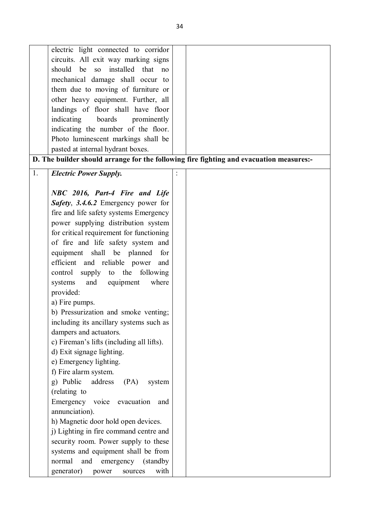| electric light connected to corridor                    |                                                                                         |
|---------------------------------------------------------|-----------------------------------------------------------------------------------------|
| circuits. All exit way marking signs                    |                                                                                         |
| should<br>be<br>SO <sub>1</sub><br>installed that<br>no |                                                                                         |
| mechanical damage shall occur to                        |                                                                                         |
| them due to moving of furniture or                      |                                                                                         |
| other heavy equipment. Further, all                     |                                                                                         |
| landings of floor shall have floor                      |                                                                                         |
| indicating<br>boards<br>prominently                     |                                                                                         |
| indicating the number of the floor.                     |                                                                                         |
| Photo luminescent markings shall be                     |                                                                                         |
| pasted at internal hydrant boxes.                       |                                                                                         |
|                                                         | D. The builder should arrange for the following fire fighting and evacuation measures:- |
|                                                         |                                                                                         |
| 1.<br><b>Electric Power Supply.</b>                     |                                                                                         |
|                                                         |                                                                                         |
| NBC 2016, Part-4 Fire and Life                          |                                                                                         |
| Safety, 3.4.6.2 Emergency power for                     |                                                                                         |
| fire and life safety systems Emergency                  |                                                                                         |
| power supplying distribution system                     |                                                                                         |
| for critical requirement for functioning                |                                                                                         |
| of fire and life safety system and                      |                                                                                         |
| equipment shall be planned<br>for                       |                                                                                         |
| efficient and reliable power<br>and                     |                                                                                         |
| control supply to the following                         |                                                                                         |
| and equipment<br>systems<br>where                       |                                                                                         |
| provided:                                               |                                                                                         |
| a) Fire pumps.                                          |                                                                                         |
| b) Pressurization and smoke venting;                    |                                                                                         |
| including its ancillary systems such as                 |                                                                                         |
| dampers and actuators.                                  |                                                                                         |
| c) Fireman's lifts (including all lifts).               |                                                                                         |
| d) Exit signage lighting.                               |                                                                                         |
| e) Emergency lighting.                                  |                                                                                         |
| f) Fire alarm system.                                   |                                                                                         |
| g) Public<br>address<br>(PA)<br>system                  |                                                                                         |
| (relating to                                            |                                                                                         |
| Emergency voice evacuation<br>and                       |                                                                                         |
| annunciation).                                          |                                                                                         |
| h) Magnetic door hold open devices.                     |                                                                                         |
| j) Lighting in fire command centre and                  |                                                                                         |
| security room. Power supply to these                    |                                                                                         |
| systems and equipment shall be from                     |                                                                                         |
| normal<br>and<br>emergency<br>(standby)                 |                                                                                         |
| with<br>generator)<br>sources<br>power                  |                                                                                         |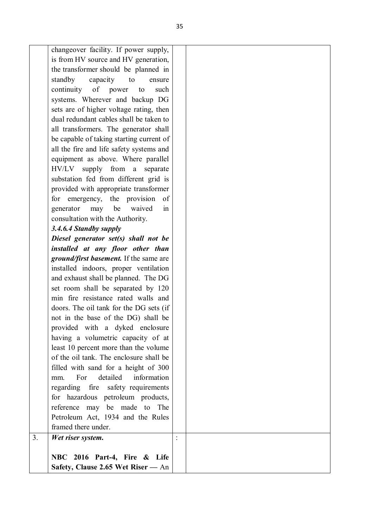| to<br>ensure                            |                                                                                                                                                                                                                                                                                                                                                                                                                                                                                                                                                                                                                                                                                                                                                                                                                                                                                                                                                                                                       |
|-----------------------------------------|-------------------------------------------------------------------------------------------------------------------------------------------------------------------------------------------------------------------------------------------------------------------------------------------------------------------------------------------------------------------------------------------------------------------------------------------------------------------------------------------------------------------------------------------------------------------------------------------------------------------------------------------------------------------------------------------------------------------------------------------------------------------------------------------------------------------------------------------------------------------------------------------------------------------------------------------------------------------------------------------------------|
| continuity of power<br>to<br>such       |                                                                                                                                                                                                                                                                                                                                                                                                                                                                                                                                                                                                                                                                                                                                                                                                                                                                                                                                                                                                       |
| systems. Wherever and backup DG         |                                                                                                                                                                                                                                                                                                                                                                                                                                                                                                                                                                                                                                                                                                                                                                                                                                                                                                                                                                                                       |
| sets are of higher voltage rating, then |                                                                                                                                                                                                                                                                                                                                                                                                                                                                                                                                                                                                                                                                                                                                                                                                                                                                                                                                                                                                       |
| dual redundant cables shall be taken to |                                                                                                                                                                                                                                                                                                                                                                                                                                                                                                                                                                                                                                                                                                                                                                                                                                                                                                                                                                                                       |
|                                         |                                                                                                                                                                                                                                                                                                                                                                                                                                                                                                                                                                                                                                                                                                                                                                                                                                                                                                                                                                                                       |
|                                         |                                                                                                                                                                                                                                                                                                                                                                                                                                                                                                                                                                                                                                                                                                                                                                                                                                                                                                                                                                                                       |
|                                         |                                                                                                                                                                                                                                                                                                                                                                                                                                                                                                                                                                                                                                                                                                                                                                                                                                                                                                                                                                                                       |
|                                         |                                                                                                                                                                                                                                                                                                                                                                                                                                                                                                                                                                                                                                                                                                                                                                                                                                                                                                                                                                                                       |
|                                         |                                                                                                                                                                                                                                                                                                                                                                                                                                                                                                                                                                                                                                                                                                                                                                                                                                                                                                                                                                                                       |
|                                         |                                                                                                                                                                                                                                                                                                                                                                                                                                                                                                                                                                                                                                                                                                                                                                                                                                                                                                                                                                                                       |
|                                         |                                                                                                                                                                                                                                                                                                                                                                                                                                                                                                                                                                                                                                                                                                                                                                                                                                                                                                                                                                                                       |
|                                         |                                                                                                                                                                                                                                                                                                                                                                                                                                                                                                                                                                                                                                                                                                                                                                                                                                                                                                                                                                                                       |
|                                         |                                                                                                                                                                                                                                                                                                                                                                                                                                                                                                                                                                                                                                                                                                                                                                                                                                                                                                                                                                                                       |
|                                         |                                                                                                                                                                                                                                                                                                                                                                                                                                                                                                                                                                                                                                                                                                                                                                                                                                                                                                                                                                                                       |
|                                         |                                                                                                                                                                                                                                                                                                                                                                                                                                                                                                                                                                                                                                                                                                                                                                                                                                                                                                                                                                                                       |
| 3.4.6.4 Standby supply                  |                                                                                                                                                                                                                                                                                                                                                                                                                                                                                                                                                                                                                                                                                                                                                                                                                                                                                                                                                                                                       |
| Diesel generator set(s) shall not be    |                                                                                                                                                                                                                                                                                                                                                                                                                                                                                                                                                                                                                                                                                                                                                                                                                                                                                                                                                                                                       |
| installed at any floor other than       |                                                                                                                                                                                                                                                                                                                                                                                                                                                                                                                                                                                                                                                                                                                                                                                                                                                                                                                                                                                                       |
| ground/first basement. If the same are  |                                                                                                                                                                                                                                                                                                                                                                                                                                                                                                                                                                                                                                                                                                                                                                                                                                                                                                                                                                                                       |
| installed indoors, proper ventilation   |                                                                                                                                                                                                                                                                                                                                                                                                                                                                                                                                                                                                                                                                                                                                                                                                                                                                                                                                                                                                       |
| and exhaust shall be planned. The DG    |                                                                                                                                                                                                                                                                                                                                                                                                                                                                                                                                                                                                                                                                                                                                                                                                                                                                                                                                                                                                       |
| set room shall be separated by 120      |                                                                                                                                                                                                                                                                                                                                                                                                                                                                                                                                                                                                                                                                                                                                                                                                                                                                                                                                                                                                       |
|                                         |                                                                                                                                                                                                                                                                                                                                                                                                                                                                                                                                                                                                                                                                                                                                                                                                                                                                                                                                                                                                       |
|                                         |                                                                                                                                                                                                                                                                                                                                                                                                                                                                                                                                                                                                                                                                                                                                                                                                                                                                                                                                                                                                       |
|                                         |                                                                                                                                                                                                                                                                                                                                                                                                                                                                                                                                                                                                                                                                                                                                                                                                                                                                                                                                                                                                       |
|                                         |                                                                                                                                                                                                                                                                                                                                                                                                                                                                                                                                                                                                                                                                                                                                                                                                                                                                                                                                                                                                       |
|                                         |                                                                                                                                                                                                                                                                                                                                                                                                                                                                                                                                                                                                                                                                                                                                                                                                                                                                                                                                                                                                       |
|                                         |                                                                                                                                                                                                                                                                                                                                                                                                                                                                                                                                                                                                                                                                                                                                                                                                                                                                                                                                                                                                       |
|                                         |                                                                                                                                                                                                                                                                                                                                                                                                                                                                                                                                                                                                                                                                                                                                                                                                                                                                                                                                                                                                       |
|                                         |                                                                                                                                                                                                                                                                                                                                                                                                                                                                                                                                                                                                                                                                                                                                                                                                                                                                                                                                                                                                       |
|                                         |                                                                                                                                                                                                                                                                                                                                                                                                                                                                                                                                                                                                                                                                                                                                                                                                                                                                                                                                                                                                       |
| mm.                                     |                                                                                                                                                                                                                                                                                                                                                                                                                                                                                                                                                                                                                                                                                                                                                                                                                                                                                                                                                                                                       |
| regarding fire safety requirements      |                                                                                                                                                                                                                                                                                                                                                                                                                                                                                                                                                                                                                                                                                                                                                                                                                                                                                                                                                                                                       |
| for hazardous petroleum products,       |                                                                                                                                                                                                                                                                                                                                                                                                                                                                                                                                                                                                                                                                                                                                                                                                                                                                                                                                                                                                       |
| reference may be made to The            |                                                                                                                                                                                                                                                                                                                                                                                                                                                                                                                                                                                                                                                                                                                                                                                                                                                                                                                                                                                                       |
| Petroleum Act, 1934 and the Rules       |                                                                                                                                                                                                                                                                                                                                                                                                                                                                                                                                                                                                                                                                                                                                                                                                                                                                                                                                                                                                       |
| framed there under.                     |                                                                                                                                                                                                                                                                                                                                                                                                                                                                                                                                                                                                                                                                                                                                                                                                                                                                                                                                                                                                       |
| Wet riser system.                       |                                                                                                                                                                                                                                                                                                                                                                                                                                                                                                                                                                                                                                                                                                                                                                                                                                                                                                                                                                                                       |
|                                         |                                                                                                                                                                                                                                                                                                                                                                                                                                                                                                                                                                                                                                                                                                                                                                                                                                                                                                                                                                                                       |
|                                         |                                                                                                                                                                                                                                                                                                                                                                                                                                                                                                                                                                                                                                                                                                                                                                                                                                                                                                                                                                                                       |
|                                         |                                                                                                                                                                                                                                                                                                                                                                                                                                                                                                                                                                                                                                                                                                                                                                                                                                                                                                                                                                                                       |
|                                         | changeover facility. If power supply,<br>is from HV source and HV generation,<br>the transformer should be planned in<br>standby<br>capacity<br>all transformers. The generator shall<br>be capable of taking starting current of<br>all the fire and life safety systems and<br>equipment as above. Where parallel<br>HV/LV<br>supply from a<br>separate<br>substation fed from different grid is<br>provided with appropriate transformer<br>for emergency, the provision<br>0f<br>be<br>waived<br>generator<br>may<br>in<br>consultation with the Authority.<br>min fire resistance rated walls and<br>doors. The oil tank for the DG sets (if<br>not in the base of the DG) shall be<br>provided with a dyked enclosure<br>having a volumetric capacity of at<br>least 10 percent more than the volume<br>of the oil tank. The enclosure shall be<br>filled with sand for a height of 300<br>detailed<br>information<br>For<br>NBC 2016 Part-4, Fire & Life<br>Safety, Clause 2.65 Wet Riser — An |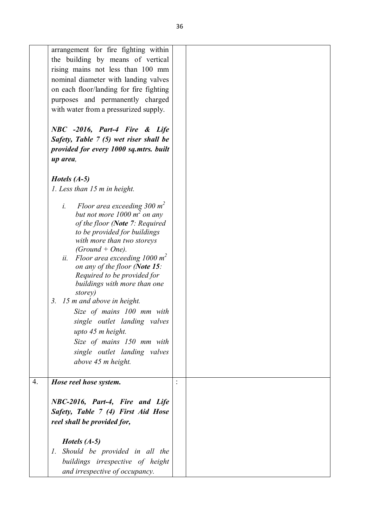|    | arrangement for fire fighting within                  |  |
|----|-------------------------------------------------------|--|
|    | the building by means of vertical                     |  |
|    | rising mains not less than 100 mm                     |  |
|    | nominal diameter with landing valves                  |  |
|    | on each floor/landing for fire fighting               |  |
|    | purposes and permanently charged                      |  |
|    | with water from a pressurized supply.                 |  |
|    | NBC -2016, Part-4 Fire & Life                         |  |
|    | Safety, Table 7 (5) wet riser shall be                |  |
|    | provided for every 1000 sq.mtrs. built                |  |
|    | up area,                                              |  |
|    |                                                       |  |
|    | <i>Hotels</i> $(A-5)$                                 |  |
|    | 1. Less than 15 m in height.                          |  |
|    |                                                       |  |
|    | Floor area exceeding $300 \text{ m}^2$<br>$\dot{l}$ . |  |
|    | but not more $1000 \, \text{m}^2$ on any              |  |
|    | of the floor (Note 7: Required                        |  |
|    | to be provided for buildings                          |  |
|    | with more than two storeys<br>$(Ground + One).$       |  |
|    | Floor area exceeding 1000 $m^2$<br>ii.                |  |
|    | on any of the floor (Note 15:                         |  |
|    | Required to be provided for                           |  |
|    | buildings with more than one                          |  |
|    | storey)                                               |  |
|    | 15 m and above in height.<br>3.                       |  |
|    | Size of mains 100 mm with                             |  |
|    | single outlet landing valves                          |  |
|    | upto 45 m height.                                     |  |
|    | Size of mains 150 mm with                             |  |
|    | single outlet landing valves                          |  |
|    | above 45 m height.                                    |  |
|    |                                                       |  |
| 4. | Hose reel hose system.                                |  |
|    |                                                       |  |
|    | NBC-2016, Part-4, Fire and Life                       |  |
|    |                                                       |  |
|    | Safety, Table 7 (4) First Aid Hose                    |  |
|    | reel shall be provided for,                           |  |
|    |                                                       |  |
|    | <i>Hotels</i> $(A-5)$                                 |  |
|    | 1. Should be provided in all the                      |  |
|    | buildings irrespective of height                      |  |
|    | and irrespective of occupancy.                        |  |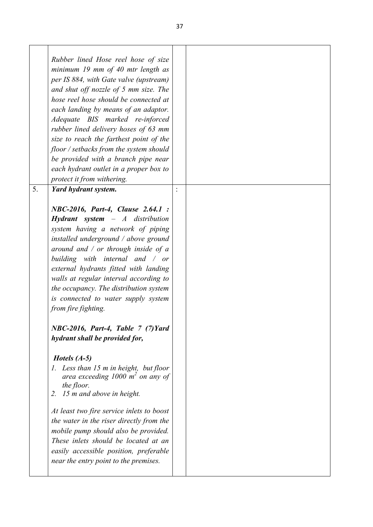|    | Rubber lined Hose reel hose of size<br>minimum 19 mm of 40 mtr length as<br>per IS 884, with Gate valve (upstream)<br>and shut off nozzle of 5 mm size. The<br>hose reel hose should be connected at<br>each landing by means of an adaptor.<br>Adequate BIS marked re-inforced<br>rubber lined delivery hoses of 63 mm<br>size to reach the farthest point of the<br>floor / setbacks from the system should<br>be provided with a branch pipe near<br>each hydrant outlet in a proper box to<br>protect it from withering. |  |
|----|------------------------------------------------------------------------------------------------------------------------------------------------------------------------------------------------------------------------------------------------------------------------------------------------------------------------------------------------------------------------------------------------------------------------------------------------------------------------------------------------------------------------------|--|
| 5. | Yard hydrant system.                                                                                                                                                                                                                                                                                                                                                                                                                                                                                                         |  |
|    | NBC-2016, Part-4, Clause 2.64.1 :<br><b>Hydrant</b> system $-A$ distribution<br>system having a network of piping<br>installed underground / above ground<br>around and $\ell$ or through inside of a<br>building with internal and / or<br>external hydrants fitted with landing<br>walls at regular interval according to<br>the occupancy. The distribution system<br>is connected to water supply system<br>from fire fighting.<br>NBC-2016, Part-4, Table 7 (7) Yard<br>hydrant shall be provided for,                  |  |
|    | <i>Hotels</i> $(A-5)$<br>1. Less than 15 m in height, but floor<br>area exceeding $1000 \text{ m}^2$ on any of<br>the floor.<br>15 m and above in height.<br>2.                                                                                                                                                                                                                                                                                                                                                              |  |
|    | At least two fire service inlets to boost<br>the water in the riser directly from the<br>mobile pump should also be provided.<br>These inlets should be located at an<br>easily accessible position, preferable<br>near the entry point to the premises.                                                                                                                                                                                                                                                                     |  |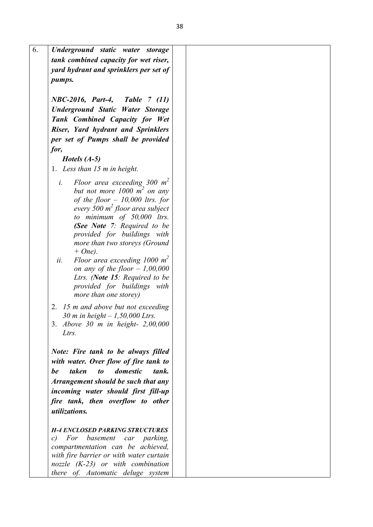| 6.<br>Underground static water storage                         |  |
|----------------------------------------------------------------|--|
| tank combined capacity for wet riser,                          |  |
|                                                                |  |
| yard hydrant and sprinklers per set of                         |  |
| pumps.                                                         |  |
|                                                                |  |
| NBC-2016, Part-4, Table 7 (11)                                 |  |
| <b>Underground Static Water Storage</b>                        |  |
| Tank Combined Capacity for Wet                                 |  |
| Riser, Yard hydrant and Sprinklers                             |  |
|                                                                |  |
| per set of Pumps shall be provided                             |  |
| for,                                                           |  |
| <i>Hotels</i> $(A-5)$                                          |  |
| 1. Less than 15 m in height.                                   |  |
| Floor area exceeding 300 $m^2$<br>i.                           |  |
| but not more 1000 $m^2$ on any                                 |  |
| of the floor $-10,000$ ltrs. for                               |  |
| every 500 $m^2$ floor area subject                             |  |
| to minimum of $50,000$ ltrs.                                   |  |
| (See Note 7: Required to be                                    |  |
|                                                                |  |
| provided for buildings with                                    |  |
| more than two storeys (Ground<br>$+ One$ ).                    |  |
| ii.<br>Floor area exceeding 1000 $m2$                          |  |
| on any of the floor $-1,00,000$                                |  |
| Ltrs. (Note 15: Required to be                                 |  |
| provided for buildings with                                    |  |
| more than one storey)                                          |  |
|                                                                |  |
| 2. 15 m and above but not exceeding                            |  |
| 30 m in height $-1,50,000$ Ltrs.                               |  |
| 3. Above 30 m in height- 2,00,000                              |  |
| Ltrs.                                                          |  |
|                                                                |  |
| Note: Fire tank to be always filled                            |  |
| with water. Over flow of fire tank to                          |  |
| taken<br>domestic<br>be<br>$\boldsymbol{\mathit{to}}$<br>tank. |  |
| Arrangement should be such that any                            |  |
| incoming water should first fill-up                            |  |
| fire tank, then overflow to other                              |  |
| <i>utilizations.</i>                                           |  |
|                                                                |  |
| <b>H-4 ENCLOSED PARKING STRUCTURES</b>                         |  |
| For<br>basement<br>parking,<br>c)<br>car                       |  |
| compartmentation can be achieved,                              |  |
| with fire barrier or with water curtain                        |  |
| nozzle $(K-23)$ or with combination                            |  |
| there of. Automatic deluge system                              |  |
|                                                                |  |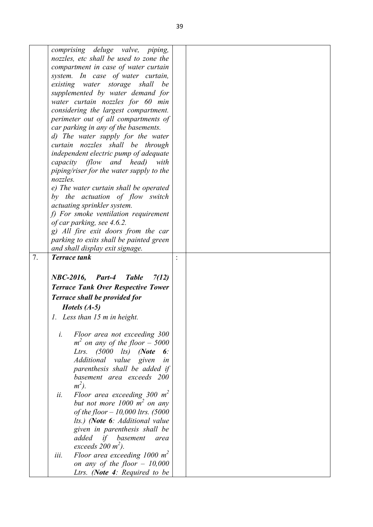|    | comprising deluge valve, piping,             |  |
|----|----------------------------------------------|--|
|    | nozzles, etc shall be used to zone the       |  |
|    | compartment in case of water curtain         |  |
|    | system. In case of water curtain,            |  |
|    | existing water storage shall<br>be           |  |
|    | supplemented by water demand for             |  |
|    | water curtain nozzles for 60 min             |  |
|    | considering the largest compartment.         |  |
|    | perimeter out of all compartments of         |  |
|    | car parking in any of the basements.         |  |
|    | d) The water supply for the water            |  |
|    | curtain nozzles shall be through             |  |
|    | independent electric pump of adequate        |  |
|    | capacity (flow and head)<br>with             |  |
|    | piping/riser for the water supply to the     |  |
|    | nozzles.                                     |  |
|    | e) The water curtain shall be operated       |  |
|    | by the actuation of flow switch              |  |
|    | actuating sprinkler system.                  |  |
|    | f) For smoke ventilation requirement         |  |
|    | of car parking, see 4.6.2.                   |  |
|    | g) All fire exit doors from the car          |  |
|    | parking to exits shall be painted green      |  |
|    | and shall display exit signage.              |  |
| 7. | <b>Terrace tank</b>                          |  |
|    |                                              |  |
|    | $NBC-2016$ , Part-4<br><b>Table</b><br>7(12) |  |
|    | <b>Terrace Tank Over Respective Tower</b>    |  |
|    | <b>Terrace shall be provided for</b>         |  |
|    |                                              |  |
|    | <i>Hotels</i> $(A-5)$                        |  |
|    | 1. Less than 15 m in height.                 |  |
|    |                                              |  |
|    | $\dot{i}$ .<br>Floor area not exceeding 300  |  |
|    | $m2$ on any of the floor - 5000              |  |
|    | Ltrs. $(5000$ lts) (Note<br>6:               |  |
|    | Additional value given<br>in                 |  |
|    | parenthesis shall be added if                |  |
|    | basement area exceeds 200                    |  |
|    | $m^2$ ).                                     |  |
|    | Floor area exceeding 300 $m^2$<br>ii.        |  |
|    | but not more 1000 $m^2$ on any               |  |
|    | of the floor $-10,000$ ltrs. (5000           |  |
|    | lts.) (Note 6: Additional value              |  |
|    | given in parenthesis shall be                |  |
|    | added<br>if<br>basement<br>area              |  |
|    | exceeds $200 \text{ m}^2$ ).                 |  |
|    | Floor area exceeding 1000 $m^2$<br>iii.      |  |
|    | on any of the floor $-10,000$                |  |
|    | Ltrs. (Note 4: Required to be                |  |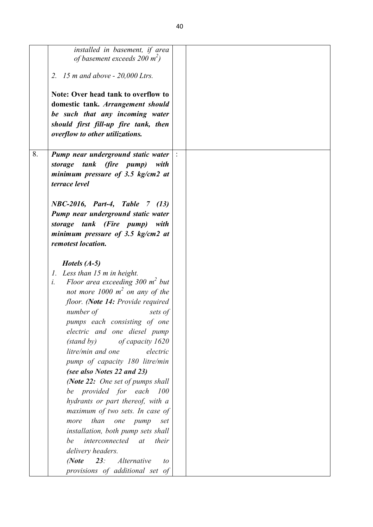|    | installed in basement, if area<br>of basement exceeds 200 $m^2$ )                |  |
|----|----------------------------------------------------------------------------------|--|
|    | 2. 15 m and above $-20,000$ Ltrs.                                                |  |
|    |                                                                                  |  |
|    | Note: Over head tank to overflow to                                              |  |
|    | domestic tank. Arrangement should                                                |  |
|    | be such that any incoming water                                                  |  |
|    | should first fill-up fire tank, then                                             |  |
|    | overflow to other utilizations.                                                  |  |
| 8. | Pump near underground static water                                               |  |
|    | tank (fire pump)<br>storage<br>with                                              |  |
|    | minimum pressure of $3.5$ kg/cm2 at                                              |  |
|    | terrace level                                                                    |  |
|    |                                                                                  |  |
|    | NBC-2016, Part-4, Table 7 (13)                                                   |  |
|    | Pump near underground static water                                               |  |
|    | storage tank (Fire pump)<br>with                                                 |  |
|    | minimum pressure of 3.5 $kg/cm2$ at                                              |  |
|    | remotest location.                                                               |  |
|    |                                                                                  |  |
|    | Hotels $(A-5)$<br>$\mathcal{I}$ .                                                |  |
|    | Less than 15 m in height.<br>$i$ .<br>Floor area exceeding $300 \text{ m}^2$ but |  |
|    | not more $1000 \text{ m}^2$ on any of the                                        |  |
|    | floor. (Note 14: Provide required                                                |  |
|    | number of<br>sets of                                                             |  |
|    | pumps each consisting of one                                                     |  |
|    | electric and one diesel pump                                                     |  |
|    | (stand by)<br>of capacity 1620                                                   |  |
|    | litre/min and one<br>electric                                                    |  |
|    | pump of capacity 180 litre/min                                                   |  |
|    | (see also Notes 22 and 23)                                                       |  |
|    | (Note 22: One set of pumps shall                                                 |  |
|    | be provided for each<br>100                                                      |  |
|    | hydrants or part thereof, with a                                                 |  |
|    | maximum of two sets. In case of                                                  |  |
|    | more than one pump<br>set                                                        |  |
|    | installation, both pump sets shall                                               |  |
|    | <i>interconnected</i> at<br>their<br>be                                          |  |
|    | delivery headers.                                                                |  |
|    | 23: Alternative<br>(Note<br>to                                                   |  |
|    | provisions of additional set of                                                  |  |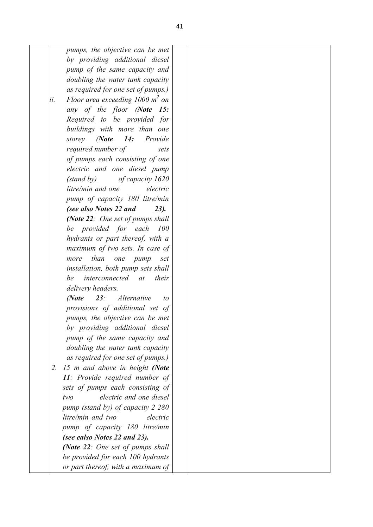*pumps, the objective can be met by providing additional diesel pump of the same capacity and doubling the water tank capacity as required for one set of pumps.) ii. Floor area exceeding 1000 m<sup>2</sup> on any of the floor (Note 15: Required to be provided for buildings with more than one storey (Note 14: Provide required number of sets of pumps each consisting of one electric and one diesel pump (stand by) of capacity 1620 litre/min and one electric pump of capacity 180 litre/min (see also Notes 22 and 23). (Note 22: One set of pumps shall be provided for each 100 hydrants or part thereof, with a maximum of two sets. In case of more than one pump set installation, both pump sets shall be interconnected at their delivery headers. (Note 23: Alternative to provisions of additional set of pumps, the objective can be met by providing additional diesel* 

*pump of the same capacity and doubling the water tank capacity as required for one set of pumps.) 2. 15 m and above in height (Note 11: Provide required number of sets of pumps each consisting of two electric and one diesel pump (stand by) of capacity 2 280 litre/min and two electric pump of capacity 180 litre/min (see ealso Notes 22 and 23). (Note 22: One set of pumps shall be provided for each 100 hydrants* 

*or part thereof, with a maximum of*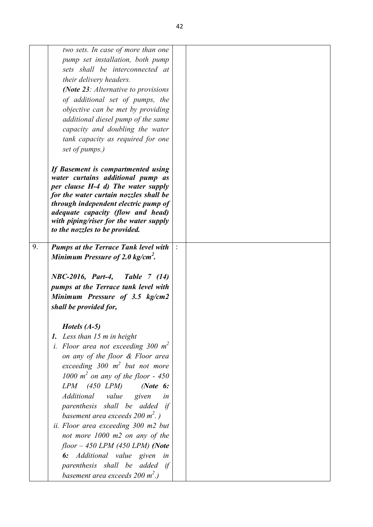| two sets. In case of more than one<br>pump set installation, both pump<br>sets shall be interconnected at<br>their delivery headers.<br>(Note 23: Alternative to provisions<br>of additional set of pumps, the<br>objective can be met by providing<br>additional diesel pump of the same<br>capacity and doubling the water                                                                                                                                                                                                                                                           |    |
|----------------------------------------------------------------------------------------------------------------------------------------------------------------------------------------------------------------------------------------------------------------------------------------------------------------------------------------------------------------------------------------------------------------------------------------------------------------------------------------------------------------------------------------------------------------------------------------|----|
| tank capacity as required for one<br>set of pumps.)                                                                                                                                                                                                                                                                                                                                                                                                                                                                                                                                    |    |
| If Basement is compartmented using<br>water curtains additional pump as<br>per clause H-4 d) The water supply<br>for the water curtain nozzles shall be<br>through independent electric pump of<br><i>adequate capacity (flow and head)</i><br>with piping/riser for the water supply<br>to the nozzles to be provided.                                                                                                                                                                                                                                                                |    |
| 9.<br><b>Pumps at the Terrace Tank level with</b><br>Minimum Pressure of 2.0 kg/cm <sup>2</sup> .<br>NBC-2016, Part-4, Table 7 (14)                                                                                                                                                                                                                                                                                                                                                                                                                                                    |    |
| pumps at the Terrace tank level with<br>Minimum Pressure of 3.5 kg/cm2<br>shall be provided for,                                                                                                                                                                                                                                                                                                                                                                                                                                                                                       |    |
| Hotels $(A-5)$<br>1. Less than 15 m in height<br><i>i.</i> Floor area not exceeding 300 $m^2$<br>on any of the floor & Floor area<br>exceeding $300 \text{ m}^2$ but not more<br>1000 $m^2$ on any of the floor - 450<br>$LPM$ (450 $LPM$ ) (Note 6:<br>Additional<br>value<br>given<br>parenthesis shall be added if<br>basement area exceeds $200 \text{ m}^2$ .)<br>ii. Floor area exceeding 300 m2 but<br>not more 1000 m2 on any of the<br>$floor-450$ LPM (450 LPM) (Note<br>6: Additional value given in<br>parenthesis shall be added if<br>basement area exceeds 200 $m^2$ .) | in |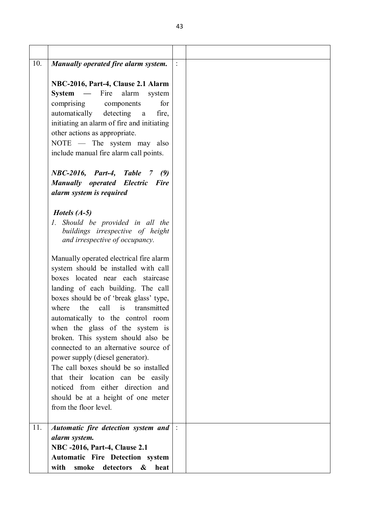| 10. | Manually operated fire alarm system.                                                                                                                                                                                                                                                                                                                                                                                                                                                                                                                                                                                           |  |
|-----|--------------------------------------------------------------------------------------------------------------------------------------------------------------------------------------------------------------------------------------------------------------------------------------------------------------------------------------------------------------------------------------------------------------------------------------------------------------------------------------------------------------------------------------------------------------------------------------------------------------------------------|--|
|     | NBC-2016, Part-4, Clause 2.1 Alarm<br>$System$ — Fire alarm<br>system<br>comprising components<br>for<br>detecting<br>automatically<br>fire,<br>a a<br>initiating an alarm of fire and initiating<br>other actions as appropriate.<br>NOTE $-$ The system may also<br>include manual fire alarm call points.                                                                                                                                                                                                                                                                                                                   |  |
|     | NBC-2016, Part-4, Table<br>7 (9)<br><b>Manually operated Electric Fire</b><br>alarm system is required                                                                                                                                                                                                                                                                                                                                                                                                                                                                                                                         |  |
|     | Hotels $(A-5)$<br>1. Should be provided in all the<br>buildings irrespective of height<br>and irrespective of occupancy.                                                                                                                                                                                                                                                                                                                                                                                                                                                                                                       |  |
|     | Manually operated electrical fire alarm<br>system should be installed with call<br>boxes located near each staircase<br>landing of each building. The call<br>boxes should be of 'break glass' type,<br>call<br>is<br>transmitted<br>where<br>the<br>automatically to the control room<br>when the glass of the system is<br>broken. This system should also be<br>connected to an alternative source of<br>power supply (diesel generator).<br>The call boxes should be so installed<br>that their location can be easily<br>noticed from either direction and<br>should be at a height of one meter<br>from the floor level. |  |
| 11. | Automatic fire detection system and<br>alarm system.<br><b>NBC -2016, Part-4, Clause 2.1</b><br><b>Automatic Fire Detection system</b><br>with<br>smoke<br>detectors<br>&<br>heat                                                                                                                                                                                                                                                                                                                                                                                                                                              |  |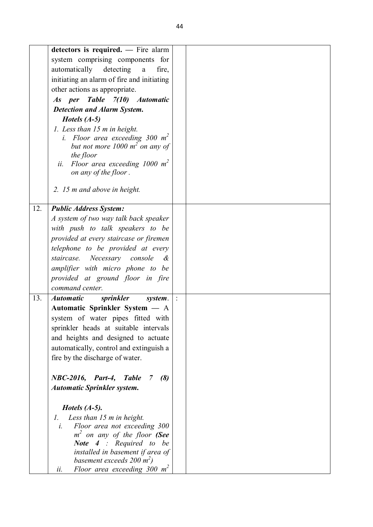|     | detectors is required. - Fire alarm                             |  |
|-----|-----------------------------------------------------------------|--|
|     | system comprising components for                                |  |
|     | automatically detecting<br>fire,<br>$\mathbf{a}$                |  |
|     | initiating an alarm of fire and initiating                      |  |
|     | other actions as appropriate.                                   |  |
|     | As per Table 7(10) Automatic                                    |  |
|     | <b>Detection and Alarm System.</b>                              |  |
|     | Hotels $(A-5)$                                                  |  |
|     | 1. Less than 15 m in height.                                    |  |
|     | i. Floor area exceeding 300 $m2$                                |  |
|     | but not more 1000 $m^2$ on any of                               |  |
|     | the floor                                                       |  |
|     | Floor area exceeding 1000 $m^2$<br>ii.<br>on any of the floor.  |  |
|     |                                                                 |  |
|     | 2. 15 m and above in height.                                    |  |
|     |                                                                 |  |
| 12. | <b>Public Address System:</b>                                   |  |
|     | A system of two way talk back speaker                           |  |
|     | with push to talk speakers to be                                |  |
|     | provided at every staircase or firemen                          |  |
|     | telephone to be provided at every                               |  |
|     | Necessary console<br>staircase.<br>$\mathcal{\mathcal{C}}$      |  |
|     | amplifier with micro phone to be                                |  |
|     | provided at ground floor in fire                                |  |
|     | command center.                                                 |  |
| 13. | <b>Automatic</b><br>sprinkler<br>system.                        |  |
|     | Automatic Sprinkler System - A                                  |  |
|     | system of water pipes fitted with                               |  |
|     | sprinkler heads at suitable intervals                           |  |
|     | and heights and designed to actuate                             |  |
|     | automatically, control and extinguish a                         |  |
|     | fire by the discharge of water.                                 |  |
|     |                                                                 |  |
|     | NBC-2016,<br>Part-4,<br><b>Table</b><br>(8)<br>7 <sup>7</sup>   |  |
|     | <b>Automatic Sprinkler system.</b>                              |  |
|     |                                                                 |  |
|     | <i>Hotels <math>(A-5)</math>.</i><br>$\mathcal{I}$ .            |  |
|     | Less than 15 m in height.<br>Floor area not exceeding 300<br>i. |  |
|     | $m2$ on any of the floor (See                                   |  |
|     | <b>Note 4</b> : Required to be                                  |  |
|     | installed in basement if area of                                |  |
|     | basement exceeds 200 $m2$ )                                     |  |
|     | Floor area exceeding $300 \text{ m}^2$<br>ii.                   |  |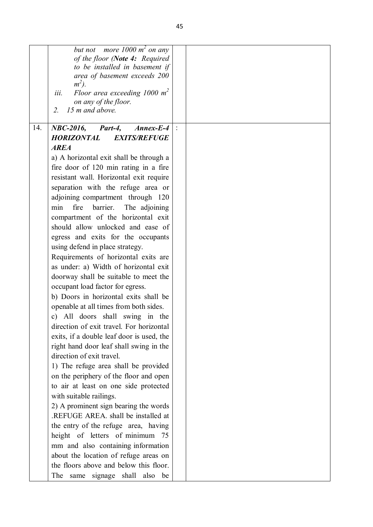|     | but not more $1000 \text{ m}^2$ on any                          |  |
|-----|-----------------------------------------------------------------|--|
|     | of the floor (Note 4: Required                                  |  |
|     | to be installed in basement if                                  |  |
|     | area of basement exceeds 200                                    |  |
|     | $m^2$ ).                                                        |  |
|     | Floor area exceeding 1000 $m^2$<br>iii.<br>on any of the floor. |  |
|     | 15 m and above.<br>2.                                           |  |
|     |                                                                 |  |
| 14. | <b>NBC-2016,</b><br>$Annex-E-4$<br>Part-4,                      |  |
|     | <b>EXITS/REFUGE</b><br><b>HORIZONTAL</b>                        |  |
|     | <b>AREA</b>                                                     |  |
|     | a) A horizontal exit shall be through a                         |  |
|     | fire door of 120 min rating in a fire                           |  |
|     | resistant wall. Horizontal exit require                         |  |
|     | separation with the refuge area or                              |  |
|     | adjoining compartment through 120                               |  |
|     | min<br>fire<br>barrier.<br>The adjoining                        |  |
|     | compartment of the horizontal exit                              |  |
|     | should allow unlocked and ease of                               |  |
|     | egress and exits for the occupants                              |  |
|     | using defend in place strategy.                                 |  |
|     | Requirements of horizontal exits are                            |  |
|     | as under: a) Width of horizontal exit                           |  |
|     | doorway shall be suitable to meet the                           |  |
|     | occupant load factor for egress.                                |  |
|     | b) Doors in horizontal exits shall be                           |  |
|     | openable at all times from both sides.                          |  |
|     | c) All doors shall swing in the                                 |  |
|     | direction of exit travel. For horizontal                        |  |
|     | exits, if a double leaf door is used, the                       |  |
|     | right hand door leaf shall swing in the                         |  |
|     | direction of exit travel.                                       |  |
|     | 1) The refuge area shall be provided                            |  |
|     | on the periphery of the floor and open                          |  |
|     | to air at least on one side protected                           |  |
|     | with suitable railings.                                         |  |
|     | 2) A prominent sign bearing the words                           |  |
|     | .REFUGE AREA. shall be installed at                             |  |
|     | the entry of the refuge area, having                            |  |
|     | height of letters of minimum 75                                 |  |
|     | mm and also containing information                              |  |
|     | about the location of refuge areas on                           |  |
|     | the floors above and below this floor.                          |  |
|     | same signage shall also be<br>The                               |  |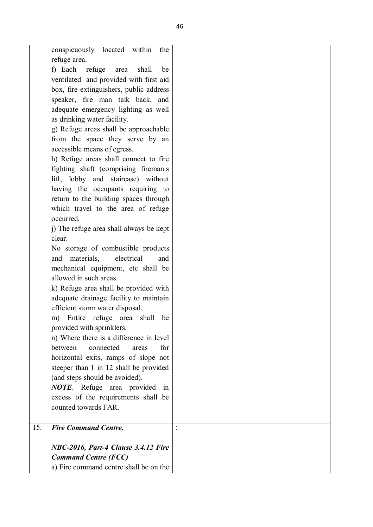|     | conspicuously located within               |                |  |
|-----|--------------------------------------------|----------------|--|
|     | the                                        |                |  |
|     | refuge area.                               |                |  |
|     | f) Each<br>refuge<br>shall<br>area<br>be   |                |  |
|     | ventilated and provided with first aid     |                |  |
|     | box, fire extinguishers, public address    |                |  |
|     | speaker, fire man talk back, and           |                |  |
|     | adequate emergency lighting as well        |                |  |
|     | as drinking water facility.                |                |  |
|     | g) Refuge areas shall be approachable      |                |  |
|     | from the space they serve by an            |                |  |
|     | accessible means of egress.                |                |  |
|     | h) Refuge areas shall connect to fire      |                |  |
|     | fighting shaft (comprising fireman.s       |                |  |
|     | lift, lobby and staircase) without         |                |  |
|     | having the occupants requiring to          |                |  |
|     | return to the building spaces through      |                |  |
|     | which travel to the area of refuge         |                |  |
|     | occurred.                                  |                |  |
|     | j) The refuge area shall always be kept    |                |  |
|     | clear.                                     |                |  |
|     | No storage of combustible products         |                |  |
|     | electrical<br>materials,<br>and<br>and     |                |  |
|     | mechanical equipment, etc shall be         |                |  |
|     | allowed in such areas.                     |                |  |
|     | k) Refuge area shall be provided with      |                |  |
|     | adequate drainage facility to maintain     |                |  |
|     | efficient storm water disposal.            |                |  |
|     | Entire refuge<br>area<br>shall<br>be<br>m) |                |  |
|     | provided with sprinklers.                  |                |  |
|     | n) Where there is a difference in level    |                |  |
|     | between<br>connected<br>for<br>areas       |                |  |
|     | horizontal exits, ramps of slope not       |                |  |
|     | steeper than 1 in 12 shall be provided     |                |  |
|     | (and steps should be avoided).             |                |  |
|     | <b>NOTE</b> . Refuge area provided<br>in   |                |  |
|     | excess of the requirements shall be        |                |  |
|     | counted towards FAR.                       |                |  |
|     |                                            |                |  |
| 15. | <b>Fire Command Centre.</b>                | $\ddot{\cdot}$ |  |
|     | NBC-2016, Part-4 Clause 3.4.12 Fire        |                |  |
|     | <b>Command Centre (FCC)</b>                |                |  |
|     | a) Fire command centre shall be on the     |                |  |
|     |                                            |                |  |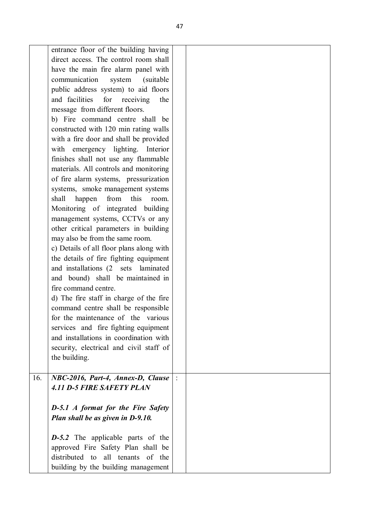| entrance floor of the building having<br>direct access. The control room shall<br>have the main fire alarm panel with<br>communication<br>system<br>(suitable)<br>public address system) to aid floors<br>and facilities<br>for<br>receiving<br>the<br>message from different floors.<br>b) Fire command centre shall be<br>constructed with 120 min rating walls<br>with a fire door and shall be provided<br>with emergency lighting. Interior<br>finishes shall not use any flammable<br>materials. All controls and monitoring<br>of fire alarm systems, pressurization<br>systems, smoke management systems<br>from this<br>shall<br>happen<br>room.<br>Monitoring of integrated building<br>management systems, CCTVs or any<br>other critical parameters in building<br>may also be from the same room.<br>c) Details of all floor plans along with<br>the details of fire fighting equipment<br>and installations (2 sets laminated<br>and bound) shall be maintained in<br>fire command centre.<br>d) The fire staff in charge of the fire<br>command centre shall be responsible<br>for the maintenance of the various<br>services and fire fighting equipment<br>and installations in coordination with |  |
|--------------------------------------------------------------------------------------------------------------------------------------------------------------------------------------------------------------------------------------------------------------------------------------------------------------------------------------------------------------------------------------------------------------------------------------------------------------------------------------------------------------------------------------------------------------------------------------------------------------------------------------------------------------------------------------------------------------------------------------------------------------------------------------------------------------------------------------------------------------------------------------------------------------------------------------------------------------------------------------------------------------------------------------------------------------------------------------------------------------------------------------------------------------------------------------------------------------------|--|
| security, electrical and civil staff of<br>the building.                                                                                                                                                                                                                                                                                                                                                                                                                                                                                                                                                                                                                                                                                                                                                                                                                                                                                                                                                                                                                                                                                                                                                           |  |
| 16.<br>NBC-2016, Part-4, Annex-D, Clause<br><b>4.11 D-5 FIRE SAFETY PLAN</b><br><b>D-5.1</b> A format for the Fire Safety<br>Plan shall be as given in D-9.10.                                                                                                                                                                                                                                                                                                                                                                                                                                                                                                                                                                                                                                                                                                                                                                                                                                                                                                                                                                                                                                                     |  |
| $D-5.2$ The applicable parts of the<br>approved Fire Safety Plan shall be<br>distributed to all tenants of the<br>building by the building management                                                                                                                                                                                                                                                                                                                                                                                                                                                                                                                                                                                                                                                                                                                                                                                                                                                                                                                                                                                                                                                              |  |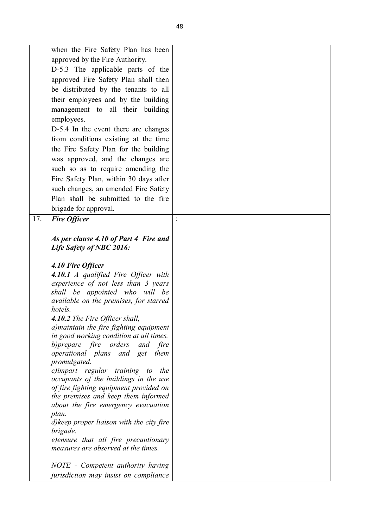|     | when the Fire Safety Plan has been                                             |  |
|-----|--------------------------------------------------------------------------------|--|
|     | approved by the Fire Authority.                                                |  |
|     | D-5.3 The applicable parts of the                                              |  |
|     | approved Fire Safety Plan shall then                                           |  |
|     | be distributed by the tenants to all                                           |  |
|     | their employees and by the building                                            |  |
|     | management to all their building                                               |  |
|     | employees.                                                                     |  |
|     | D-5.4 In the event there are changes                                           |  |
|     | from conditions existing at the time                                           |  |
|     | the Fire Safety Plan for the building                                          |  |
|     | was approved, and the changes are                                              |  |
|     | such so as to require amending the                                             |  |
|     |                                                                                |  |
|     | Fire Safety Plan, within 30 days after<br>such changes, an amended Fire Safety |  |
|     | Plan shall be submitted to the fire                                            |  |
|     |                                                                                |  |
|     | brigade for approval.                                                          |  |
| 17. | <b>Fire Officer</b>                                                            |  |
|     |                                                                                |  |
|     | As per clause 4.10 of Part 4 Fire and                                          |  |
|     | Life Safety of NBC 2016:                                                       |  |
|     | 4.10 Fire Officer                                                              |  |
|     | 4.10.1 A qualified Fire Officer with                                           |  |
|     | experience of not less than 3 years                                            |  |
|     | shall be appointed who will be                                                 |  |
|     | available on the premises, for starred                                         |  |
|     | hotels.                                                                        |  |
|     | 4.10.2 The Fire Officer shall,                                                 |  |
|     | a) maintain the fire fighting equipment                                        |  |
|     | in good working condition at all times.                                        |  |
|     | b) prepare fire orders<br>and fire                                             |  |
|     | operational plans and get<br>them<br>promulgated.                              |  |
|     | c)impart regular training to<br>the                                            |  |
|     | occupants of the buildings in the use                                          |  |
|     |                                                                                |  |
|     |                                                                                |  |
|     | of fire fighting equipment provided on<br>the premises and keep them informed  |  |
|     | about the fire emergency evacuation                                            |  |
|     | plan.                                                                          |  |
|     | d) keep proper liaison with the city fire                                      |  |
|     | brigade.                                                                       |  |
|     | e)ensure that all fire precautionary                                           |  |
|     | measures are observed at the times.                                            |  |
|     |                                                                                |  |
|     | NOTE - Competent authority having<br>jurisdiction may insist on compliance     |  |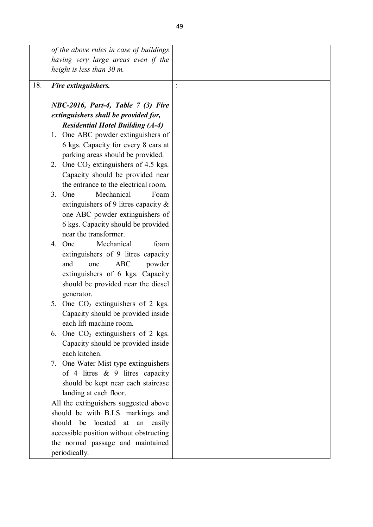|     | of the above rules in case of buildings                                       |                |  |
|-----|-------------------------------------------------------------------------------|----------------|--|
|     | having very large areas even if the                                           |                |  |
|     | height is less than 30 m.                                                     |                |  |
| 18. | Fire extinguishers.                                                           | $\ddot{\cdot}$ |  |
|     | NBC-2016, Part-4, Table 7 (3) Fire                                            |                |  |
|     | extinguishers shall be provided for,                                          |                |  |
|     | <b>Residential Hotel Building (A-4)</b>                                       |                |  |
|     | 1. One ABC powder extinguishers of                                            |                |  |
|     | 6 kgs. Capacity for every 8 cars at                                           |                |  |
|     | parking areas should be provided.                                             |                |  |
|     | 2. One $CO2$ extinguishers of 4.5 kgs.                                        |                |  |
|     | Capacity should be provided near                                              |                |  |
|     | the entrance to the electrical room.                                          |                |  |
|     | Mechanical<br>3.<br>One<br>Foam                                               |                |  |
|     | extinguishers of 9 litres capacity $\&$                                       |                |  |
|     | one ABC powder extinguishers of                                               |                |  |
|     | 6 kgs. Capacity should be provided                                            |                |  |
|     | near the transformer.                                                         |                |  |
|     | Mechanical<br>One<br>foam<br>4.                                               |                |  |
|     | extinguishers of 9 litres capacity                                            |                |  |
|     | and<br><b>ABC</b><br>powder<br>one                                            |                |  |
|     | extinguishers of 6 kgs. Capacity                                              |                |  |
|     | should be provided near the diesel                                            |                |  |
|     | generator.                                                                    |                |  |
|     | One $CO2$ extinguishers of 2 kgs.<br>5.<br>Capacity should be provided inside |                |  |
|     | each lift machine room.                                                       |                |  |
|     | 6. One $CO2$ extinguishers of 2 kgs.                                          |                |  |
|     | Capacity should be provided inside                                            |                |  |
|     | each kitchen.                                                                 |                |  |
|     | 7. One Water Mist type extinguishers                                          |                |  |
|     | of 4 litres $\&$ 9 litres capacity                                            |                |  |
|     | should be kept near each staircase                                            |                |  |
|     | landing at each floor.                                                        |                |  |
|     | All the extinguishers suggested above                                         |                |  |
|     | should be with B.I.S. markings and                                            |                |  |
|     | should be located at an easily                                                |                |  |
|     | accessible position without obstructing                                       |                |  |
|     | the normal passage and maintained                                             |                |  |
|     | periodically.                                                                 |                |  |